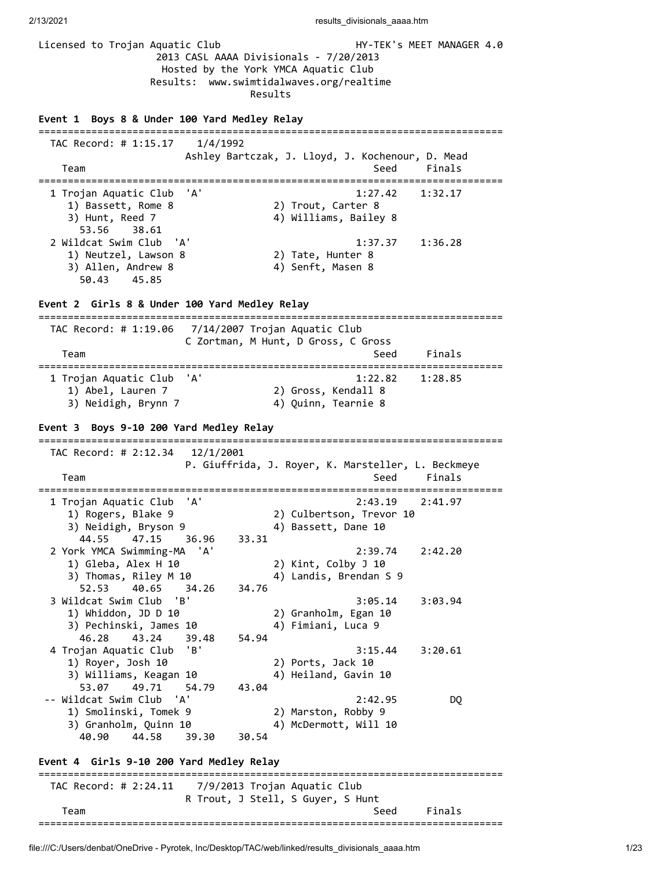Licensed to Trojan Aquatic Club **HY-TEK's MEET MANAGER 4.0**  2013 CASL AAAA Divisionals - 7/20/2013 Hosted by the York YMCA Aquatic Club Results: www.swimtidalwaves.org/realtime Results **Event 1 Boys 8 & Under 100 Yard Medley Relay** =============================================================================== TAC Record: # 1:15.17 1/4/1992 Ashley Bartczak, J. Lloyd, J. Kochenour, D. Mead Team Seed Finals =============================================================================== 1 Trojan Aquatic Club 'A' 1:27.42 1:32.17 1) Bassett, Rome 8 2) Trout, Carter 8 3) Hunt, Reed 7 4) Williams, Bailey 8 53.56 38.61 2 Wildcat Swim Club 'A' 1:37.37 1:36.28 1) Neutzel, Lawson 8 2) Tate, Hunter 8 3) Allen, Andrew 8 4) Senft, Masen 8 50.43 45.85 **Event 2 Girls 8 & Under 100 Yard Medley Relay** =============================================================================== TAC Record: # 1:19.06 7/14/2007 Trojan Aquatic Club C Zortman, M Hunt, D Gross, C Gross Team Seed Finals =============================================================================== 1 Trojan Aquatic Club 'A' 1:22.82 1:28.85 1) Abel, Lauren 7 2) Gross, Kendall 8 3) Neidigh, Brynn 7 4) Quinn, Tearnie 8 **Event 3 Boys 9-10 200 Yard Medley Relay** =============================================================================== TAC Record: # 2:12.34 12/1/2001 P. Giuffrida, J. Royer, K. Marsteller, L. Beckmeye Team Seed Finals =============================================================================== 1 Trojan Aquatic Club 'A' 2:43.19 2:41.97 1) Rogers, Blake 9 2) Culbertson, Trevor 10 3) Neidigh, Bryson 9 4) Bassett, Dane 10 44.55 47.15 36.96 33.31 2 York YMCA Swimming-MA 'A' 2:39.74 2:42.20 1) Gleba, Alex H 10 2) Kint, Colby J 10 3) Thomas, Riley M 10 4) Landis, Brendan S 9 52.53 40.65 34.26 34.76 3 Wildcat Swim Club 'B' 3:05.14 3:03.94 1) Whiddon, JD D 10 2) Granholm, Egan 10<br>3) Pechinski, James 10 4) Fimiani, Luca 9  $3)$  Pechinski, James 10 46.28 43.24 39.48 54.94 4 Trojan Aquatic Club 'B' 3:15.44 3:20.61<br>1) Royer, Josh 10 2) Ports, Jack 10<br>3) Williams. Keagan 10 1) Royer, Josh 10 2) Ports, Jack 10 3) Williams, Keagan 10 4) Heiland, Gavin 10 53.07 49.71 54.79 43.04 -- Wildcat Swim Club 'A' 2:42.95 DQ 1) Smolinski, Tomek 9 2) Marston, Robby 9 3) Granholm, Quinn 10 4) McDermott, Will 10 40.90 44.58 39.30 30.54 **Event 4 Girls 9-10 200 Yard Medley Relay** =============================================================================== TAC Record: # 2:24.11 7/9/2013 Trojan Aquatic Club R Trout, J Stell, S Guyer, S Hunt Team Seed Finals ===============================================================================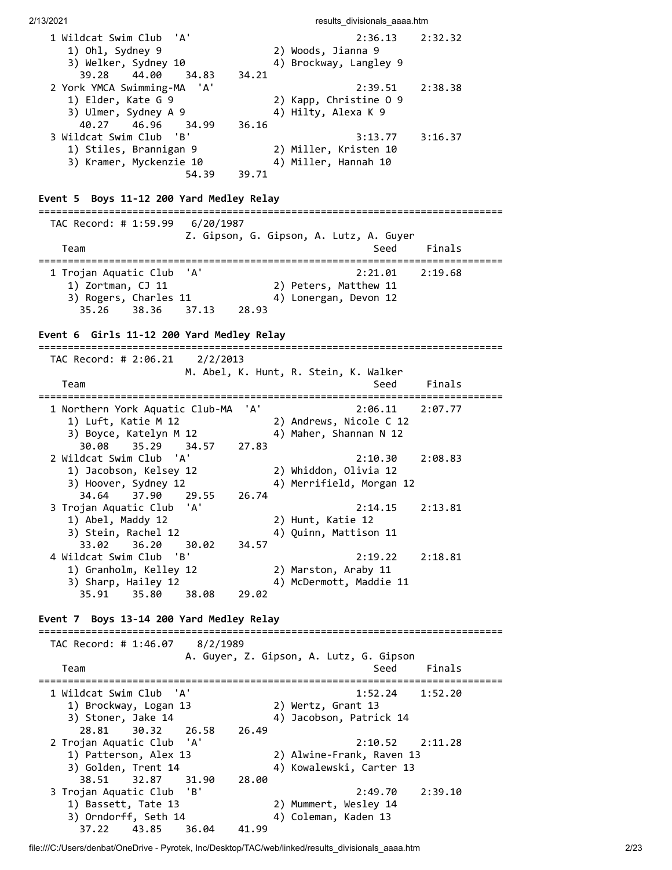| 1 Wildcat Swim Club<br>'A'<br>1) Ohl, Sydney 9<br>3) Welker, Sydney 10<br>39.28 44.00<br>34.83<br>2 York YMCA Swimming-MA 'A' | 34.21        | 2:36.13<br>2) Woods, Jianna 9<br>4) Brockway, Langley 9<br>2:39.51 | 2:32.32<br>2:38.38  |
|-------------------------------------------------------------------------------------------------------------------------------|--------------|--------------------------------------------------------------------|---------------------|
| 1) Elder, Kate G 9<br>3) Ulmer, Sydney A 9<br>40.27<br>46.96<br>34.99                                                         | 36.16        | 2) Kapp, Christine 0 9<br>4) Hilty, Alexa K 9                      |                     |
| 3 Wildcat Swim Club<br>'B'<br>1) Stiles, Brannigan 9<br>3) Kramer, Myckenzie 10<br>54.39                                      | 39.71        | 3:13.77<br>2) Miller, Kristen 10<br>4) Miller, Hannah 10           | 3:16.37             |
| Event 5 Boys 11-12 200 Yard Medley Relay                                                                                      |              | =============================                                      |                     |
| TAC Record: # 1:59.99<br>6/20/1987                                                                                            |              | Z. Gipson, G. Gipson, A. Lutz, A. Guyer                            |                     |
| Team                                                                                                                          |              | Seed                                                               | Finals<br>========= |
| 1 Trojan Aquatic Club 'A'<br>1) Zortman, CJ 11<br>3) Rogers, Charles 11<br>38.36<br>35.26<br>37.13                            | 28.93        | 2:21.01<br>2) Peters, Matthew 11<br>4) Lonergan, Devon 12          | 2:19.68             |
| Event 6 Girls 11-12 200 Yard Medley Relay                                                                                     |              |                                                                    |                     |
| TAC Record: # 2:06.21 $2/2/2013$                                                                                              |              |                                                                    |                     |
| Team                                                                                                                          |              | M. Abel, K. Hunt, R. Stein, K. Walker<br>Seed                      | Finals              |
| 1 Northern York Aquatic Club-MA<br>1) Luft, Katie M 12<br>3) Boyce, Katelyn M 12<br>35.29<br>30.08<br>34.57                   | 'A'<br>27.83 | 2:06.11<br>2) Andrews, Nicole C 12<br>4) Maher, Shannan N 12       | 2:07.77             |
| 2 Wildcat Swim Club<br>'A'<br>1) Jacobson, Kelsey 12<br>3) Hoover, Sydney 12<br>37.90<br>34.64<br>29.55                       | 26.74        | 2:10.30<br>2) Whiddon, Olivia 12<br>4) Merrifield, Morgan 12       | 2:08.83             |
| 3 Trojan Aquatic Club 'A'<br>1) Abel, Maddy 12<br>3) Stein, Rachel 12<br>33.02<br>36.20<br>30.02                              | 34.57        | 2:14.15<br>2) Hunt, Katie 12<br>4) Quinn, Mattison 11              | 2:13.81             |
| 4 Wildcat Swim Club<br>'B'<br>1) Granholm, Kelley 12<br>3) Sharp, Hailey 12<br>35.80<br>35.91<br>38.08                        | 29.02        | 2:19.22<br>2) Marston, Araby 11<br>4) McDermott, Maddie 11         | 2:18.81             |
| Event 7 Boys 13-14 200 Yard Medley Relay                                                                                      |              |                                                                    |                     |
| TAC Record: # 1:46.07<br>8/2/1989                                                                                             |              |                                                                    |                     |
| Team                                                                                                                          |              | A. Guyer, Z. Gipson, A. Lutz, G. Gipson<br>Seed                    | Finals              |
| 1 Wildcat Swim Club<br>'A'<br>1) Brockway, Logan 13<br>3) Stoner, Jake 14<br>28.81<br>30.32<br>26.58                          | 26.49        | 1:52.24<br>2) Wertz, Grant 13<br>4) Jacobson, Patrick 14           | 1:52.20             |
| 2 Trojan Aquatic Club<br>'A'<br>1) Patterson, Alex 13<br>3) Golden, Trent 14<br>38.51<br>32.87<br>31.90                       | 28.00        | 2:10.52<br>2) Alwine-Frank, Raven 13<br>4) Kowalewski, Carter 13   | 2:11.28             |
| 3 Trojan Aquatic Club<br>'B'<br>1) Bassett, Tate 13<br>3) Orndorff, Seth 14<br>37.22<br>43.85<br>36.04                        | 41.99        | 2:49.70<br>2) Mummert, Wesley 14<br>4) Coleman, Kaden 13           | 2:39.10             |

file:///C:/Users/denbat/OneDrive - Pyrotek, Inc/Desktop/TAC/web/linked/results\_divisionals\_aaaa.htm 2/23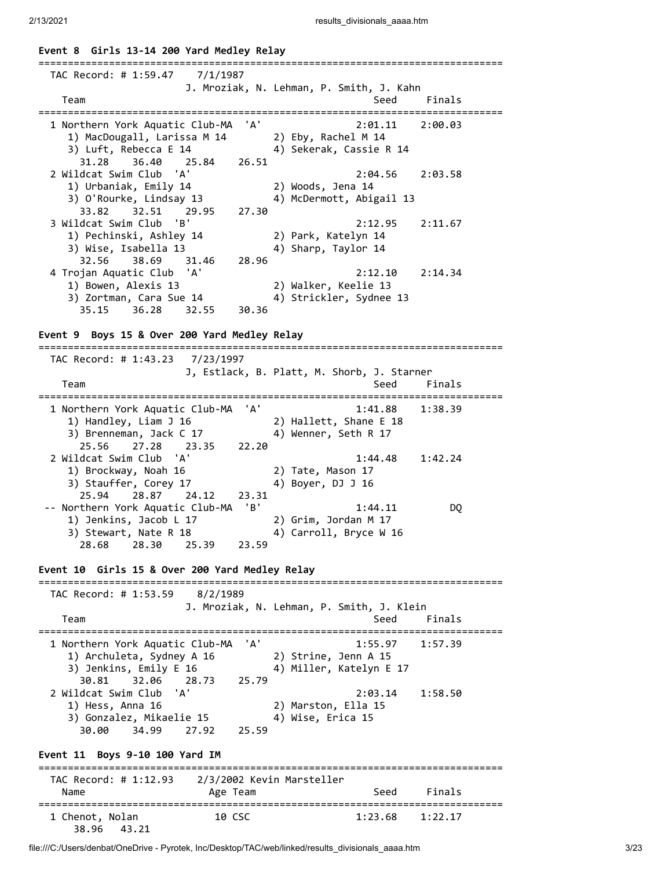**Event 8 Girls 13-14 200 Yard Medley Relay**

| TAC Record: # 1:59.47<br>7/1/1987                                                                                                                               | J. Mroziak, N. Lehman, P. Smith, J. Kahn                               |
|-----------------------------------------------------------------------------------------------------------------------------------------------------------------|------------------------------------------------------------------------|
| Team                                                                                                                                                            | Seed<br>Finals                                                         |
| 1 Northern York Aquatic Club-MA<br>'A'<br>1) MacDougall, Larissa M 14<br>3) Luft, Rebecca E 14<br>36.40<br>31.28<br>25.84<br>26.51                              | 2:01.11<br>2:00.03<br>2) Eby, Rachel M 14<br>4) Sekerak, Cassie R 14   |
| 2 Wildcat Swim Club 'A'<br>1) Urbaniak, Emily 14<br>3) O'Rourke, Lindsay 13<br>27.30<br>32.51<br>33.82<br>29.95                                                 | 2:04.56<br>2:03.58<br>2) Woods, Jena 14<br>4) McDermott, Abigail 13    |
| $^{\prime}$ B'<br>3 Wildcat Swim Club<br>1) Pechinski, Ashley 14<br>3) Wise, Isabella 13<br>32.56 38.69<br>28.96<br>31.46                                       | 2:12.95<br>2:11.67<br>2) Park, Katelyn 14<br>4) Sharp, Taylor 14       |
| 4 Trojan Aquatic Club 'A'<br>1) Bowen, Alexis 13<br>3) Zortman, Cara Sue 14<br>36.28<br>35.15<br>32.55<br>30.36<br>Event 9 Boys 15 & Over 200 Yard Medley Relay | 2:12.10<br>2:14.34<br>2) Walker, Keelie 13<br>4) Strickler, Sydnee 13  |
|                                                                                                                                                                 |                                                                        |
| TAC Record: # 1:43.23 7/23/1997                                                                                                                                 |                                                                        |
| Team                                                                                                                                                            | J, Estlack, B. Platt, M. Shorb, J. Starner<br>Seed<br>Finals           |
| 'A'<br>1 Northern York Aquatic Club-MA<br>1) Handley, Liam J 16<br>3) Brenneman, Jack C 17<br>25.56<br>27.28 23.35<br>22.20                                     | 1:41.88<br>1:38.39<br>2) Hallett, Shane E 18<br>4) Wenner, Seth R 17   |
| 2 Wildcat Swim Club<br>'A'<br>1) Brockway, Noah 16<br>3) Stauffer, Corey 17<br>25.94<br>28.87<br>24.12<br>23.31                                                 | 1:44.48<br>1:42.24<br>2) Tate, Mason 17<br>4) Boyer, DJ J 16           |
| 'B'<br>-- Northern York Aquatic Club-MA<br>1) Jenkins, Jacob L 17<br>3) Stewart, Nate R 18                                                                      | 1:44.11<br><b>DQ</b><br>2) Grim, Jordan M 17<br>4) Carroll, Bryce W 16 |
| 28.30<br>28.68<br>25.39<br>23.59                                                                                                                                |                                                                        |

 TAC Record: # 1:53.59 8/2/1989 J. Mroziak, N. Lehman, P. Smith, J. Klein Team Seed Finals =============================================================================== 1 Northern York Aquatic Club-MA 'A' 1:55.97 1:57.39 1) Archuleta, Sydney A 16 2) Strine, Jenn A 15 3) Jenkins, Emily E 16 4) Miller, Katelyn E 17 30.81 32.06 28.73 25.79 2 Wildcat Swim Club 'A' 2:03.14 1:58.50 1) Hess, Anna 16 2) Marston, Ella 15 3) Gonzalez, Mikaelie 15 (4) Wise, Erica 15 30.00 34.99 27.92 25.59 **Event 11 Boys 9-10 100 Yard IM** =============================================================================== TAC Record: # 1:12.93 2/3/2002 Kevin Marsteller Name **Age Team** Seed Finals =============================================================================== 1 Chenot, Nolan 10 CSC 1:23.68 1:22.17 38.96 43.21

file:///C:/Users/denbat/OneDrive - Pyrotek, Inc/Desktop/TAC/web/linked/results\_divisionals\_aaaa.htm 3/23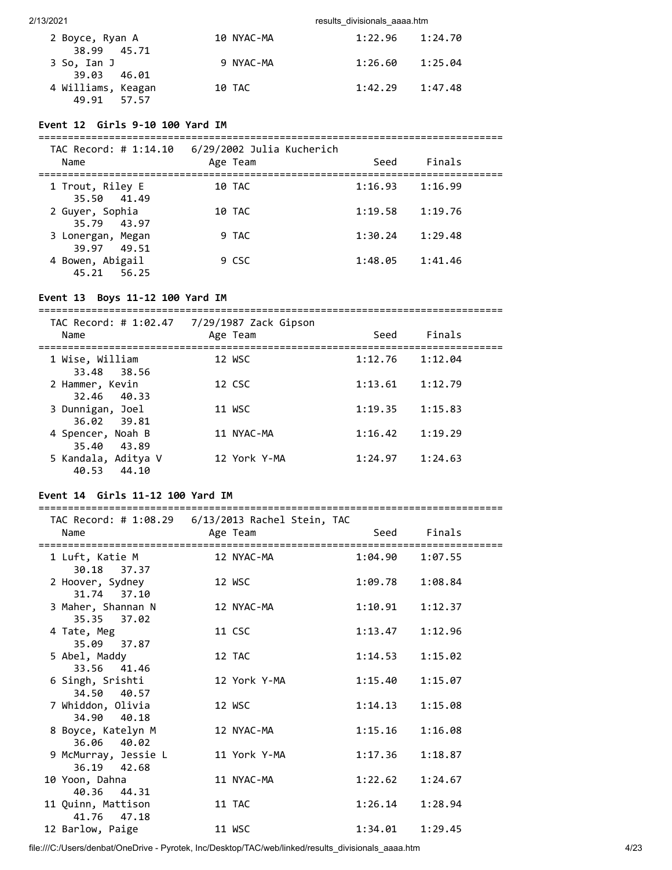| 2 Boyce, Ryan A    | 10 NYAC-MA | 1:22.96 | 1:24.70 |
|--------------------|------------|---------|---------|
| 38.99 45.71        |            |         |         |
| 3 So, Ian J        | 9 NYAC-MA  | 1:26.60 | 1:25.04 |
| 39.03 46.01        |            |         |         |
| 4 Williams, Keagan | 10 TAC     | 1:42.29 | 1:47.48 |
| 49.91 57.57        |            |         |         |

### **Event 12 Girls 9-10 100 Yard IM**

| TAC Record: # 1:14.10<br>Name    | 6/29/2002 Julia Kucherich<br>Age Team | Seed    | Finals  |  |
|----------------------------------|---------------------------------------|---------|---------|--|
| 1 Trout, Riley E<br>35.50 41.49  | 10 TAC                                | 1:16.93 | 1:16.99 |  |
| 2 Guyer, Sophia<br>35.79 43.97   | 10 TAC                                | 1:19.58 | 1:19.76 |  |
| 3 Lonergan, Megan<br>39.97 49.51 | 9 TAC                                 | 1:30.24 | 1:29.48 |  |
| 4 Bowen, Abigail<br>45.21 56.25  | 9 CSC                                 | 1:48.05 | 1:41.46 |  |

### **Event 13 Boys 11-12 100 Yard IM**

=============================================================================== TAC Record: # 1:02.47 7/29/1987 Zack Gipson

| Name                                  | TAC RECOLU. # 1.02.47 7729/1907 LACK 0103011<br>Age Team | Seed    | Finals  |  |
|---------------------------------------|----------------------------------------------------------|---------|---------|--|
| 1 Wise, William<br>33.48 38.56        | 12 WSC                                                   | 1:12.76 | 1:12.04 |  |
| 2 Hammer, Kevin<br>32.46 40.33        | 12 CSC                                                   | 1:13.61 | 1:12.79 |  |
| 3 Dunnigan, Joel<br>36.02 39.81       | 11 WSC                                                   | 1:19.35 | 1:15.83 |  |
| 4 Spencer, Noah B<br>35.40 43.89      | 11 NYAC-MA                                               | 1:16.42 | 1:19.29 |  |
| 5 Kandala, Aditya V<br>40.53<br>44.10 | 12 York Y-MA                                             | 1:24.97 | 1:24.63 |  |

### **Event 14 Girls 11-12 100 Yard IM**

===============================================================================

| Name                                 | TAC Record: # 1:08.29    6/13/2013 Rachel Stein, TAC<br>Age Team |                     | Seed Finals |  |
|--------------------------------------|------------------------------------------------------------------|---------------------|-------------|--|
|                                      |                                                                  |                     |             |  |
| 1 Luft, Katie M<br>30.18 37.37       | 12 NYAC-MA                                                       | $1:04.90$ $1:07.55$ |             |  |
| 2 Hoover, Sydney<br>31.74 37.10      | 12 WSC                                                           | 1:09.78             | 1:08.84     |  |
| 3 Maher, Shannan N<br>35.35 37.02    | 12 NYAC-MA                                                       | 1:10.91             | 1:12.37     |  |
| 4 Tate, Meg<br>35.09 37.87           | 11 CSC                                                           | 1:13.47             | 1:12.96     |  |
| 5 Abel, Maddy<br>33.56 41.46         | 12 TAC                                                           | 1:14.53             | 1:15.02     |  |
| 6 Singh, Srishti<br>34.50 40.57      | 12 York Y-MA                                                     | 1:15.40             | 1:15.07     |  |
| 7 Whiddon, Olivia<br>34.90 40.18     | 12 WSC                                                           | 1:14.13             | 1:15.08     |  |
| 8 Boyce, Katelyn M<br>36.06 40.02    | 12 NYAC-MA                                                       | 1:15.16             | 1:16.08     |  |
| 9 McMurray, Jessie L<br>36.19 42.68  | 11 York Y-MA                                                     | 1:17.36             | 1:18.87     |  |
| 10 Yoon, Dahna<br>40.36 44.31        | 11 NYAC-MA                                                       | 1:22.62             | 1:24.67     |  |
| 11 Quinn, Mattison<br>47.18<br>41.76 | 11 TAC                                                           | 1:26.14             | 1:28.94     |  |
| 12 Barlow, Paige                     | 11 WSC                                                           | 1:34.01             | 1:29.45     |  |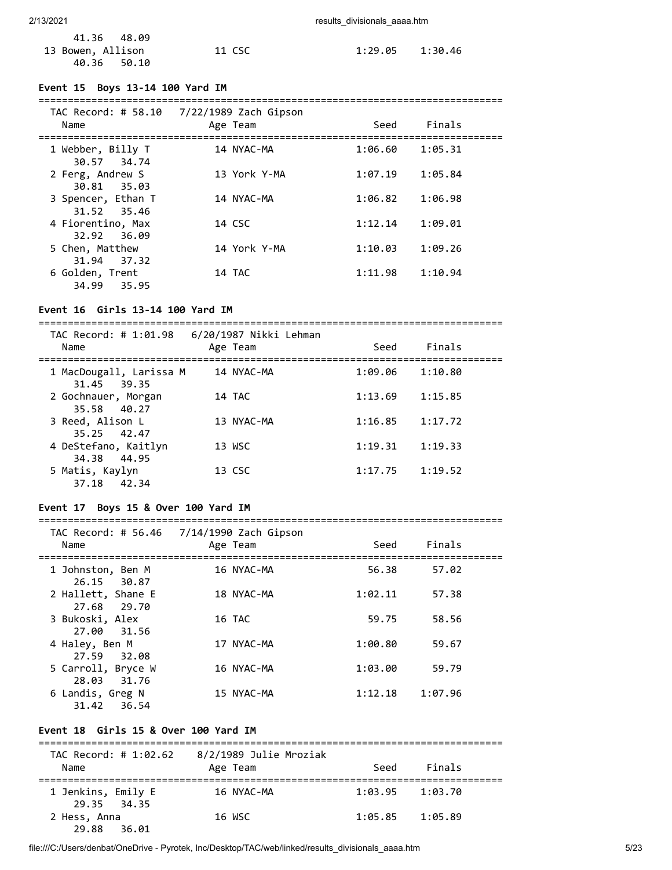| 41.36 48.09       |        |                     |  |
|-------------------|--------|---------------------|--|
| 13 Bowen, Allison | 11 CSC | $1:29.05$ $1:30.46$ |  |
| 40.36 50.10       |        |                     |  |

#### **Event 15 Boys 13-14 100 Yard IM**

| Name                              | TAC Record: # 58.10 $7/22/1989$ Zach Gipson<br>Age Team | Seed    | Finals  |  |
|-----------------------------------|---------------------------------------------------------|---------|---------|--|
| 1 Webber, Billy T<br>30.57 34.74  | 14 NYAC-MA                                              | 1:06.60 | 1:05.31 |  |
| 2 Ferg, Andrew S<br>30.81 35.03   | 13 York Y-MA                                            | 1:07.19 | 1:05.84 |  |
| 3 Spencer, Ethan T<br>31.52 35.46 | 14 NYAC-MA                                              | 1:06.82 | 1:06.98 |  |
| 4 Fiorentino, Max<br>32.92 36.09  | 14 CSC                                                  | 1:12.14 | 1:09.01 |  |
| 5 Chen, Matthew<br>31.94 37.32    | 14 York Y-MA                                            | 1:10.03 | 1:09.26 |  |
| 6 Golden, Trent<br>35.95<br>34.99 | 14 TAC                                                  | 1:11.98 | 1:10.94 |  |

#### **Event 16 Girls 13-14 100 Yard IM**

=============================================================================== TAC Record: # 1:01.98 6/20/1987 Nikki Lehman Name Age Team Seed Finals =============================================================================== 1 MacDougall, Larissa M 14 NYAC-MA 1:09.06 1:10.80 31.45 39.35 2 Gochnauer, Morgan 14 TAC 1:13.69 1:15.85 35.58 40.27 3 Reed, Alison L 13 NYAC-MA 1:16.85 1:17.72 35.25 42.47 4 DeStefano, Kaitlyn 13 WSC 1:19.31 1:19.33 34.38 44.95 5 Matis, Kaylyn 13 CSC 1:17.75 1:19.52 37.18 42.34

### **Event 17 Boys 15 & Over 100 Yard IM**

#### ===============================================================================

| Name                              | TAC Record: # 56.46 7/14/1990 Zach Gipson<br>Age Team | Seed    | Finals  |  |
|-----------------------------------|-------------------------------------------------------|---------|---------|--|
| 1 Johnston, Ben M<br>26.15 30.87  | 16 NYAC-MA                                            | 56.38   | 57.02   |  |
| 2 Hallett, Shane E<br>27.68 29.70 | 18 NYAC-MA                                            | 1:02.11 | 57.38   |  |
| 3 Bukoski, Alex<br>27.00 31.56    | 16 TAC                                                | 59.75   | 58.56   |  |
| 4 Haley, Ben M<br>27.59 32.08     | 17 NYAC-MA                                            | 1:00.80 | 59.67   |  |
| 5 Carroll, Bryce W<br>28.03 31.76 | 16 NYAC-MA                                            | 1:03.00 | 59.79   |  |
| 6 Landis, Greg N<br>31.42 36.54   | 15 NYAC-MA                                            | 1:12.18 | 1:07.96 |  |

### **Event 18 Girls 15 & Over 100 Yard IM**

| TAC Record: # 1:02.62<br>Name     | 8/2/1989 Julie Mroziak<br>Age Team | Seed    | Finals  |  |
|-----------------------------------|------------------------------------|---------|---------|--|
| 1 Jenkins, Emily E<br>29.35 34.35 | 16 NYAC-MA                         | 1:03.95 | 1:03.70 |  |
| 2 Hess, Anna<br>29.88<br>36.01    | 16 WSC                             | 1:05.85 | 1:05.89 |  |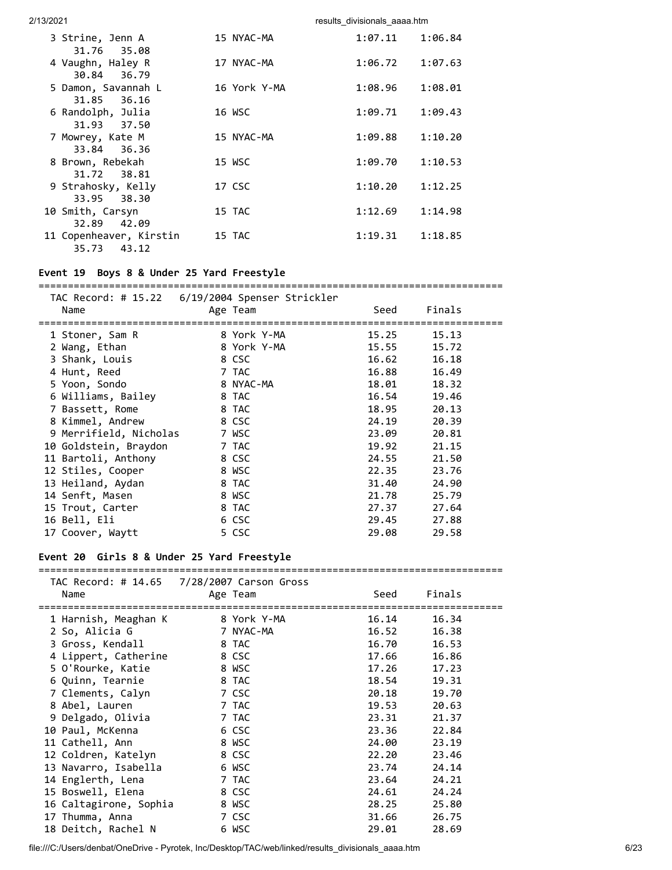| 3 Strine, Jenn A<br>31.76 35.08                          | 15 NYAC-MA   | 1:07.11 | 1:06.84 |
|----------------------------------------------------------|--------------|---------|---------|
| 4 Vaughn, Haley R<br>30.84 36.79                         | 17 NYAC-MA   | 1:06.72 | 1:07.63 |
| 5 Damon, Savannah L<br>31.85 36.16                       | 16 York Y-MA | 1:08.96 | 1:08.01 |
| 6 Randolph, Julia<br>31.93 37.50                         | 16 WSC       | 1:09.71 | 1:09.43 |
| 7 Mowrey, Kate M<br>33.84 36.36                          | 15 NYAC-MA   | 1:09.88 | 1:10.20 |
| 8 Brown, Rebekah                                         | 15 WSC       | 1:09.70 | 1:10.53 |
| 31.72 38.81<br>9 Strahosky, Kelly                        | 17 CSC       | 1:10.20 | 1:12.25 |
| 38.30<br>33.95<br>10 Smith, Carsyn                       | 15 TAC       | 1:12.69 | 1:14.98 |
| 42.09<br>32.89<br>11 Copenheaver, Kirstin<br>35.73 43.12 | 15 TAC       | 1:19.31 | 1:18.85 |

### **Event 19 Boys 8 & Under 25 Yard Freestyle**

=============================================================================== TAC Record: # 15.22 6/19/2004 Spenser Strickler Name **Age Team** Age Team Seed Finals =============================================================================== 1 Stoner, Sam R 8 York Y-MA 15.25 15.13 2 Wang, Ethan 8 York Y-MA 15.55 15.72 3 Shank, Louis 8 CSC 16.62 16.18 4 Hunt, Reed 7 TAC 16.88 16.49 5 Yoon, Sondo 8 NYAC-MA 18.01 18.32 6 Williams, Bailey 8 TAC 16.54 19.46 7 Bassett, Rome 8 TAC 18.95 20.13 8 Kimmel, Andrew 8 CSC 24.19 20.39 9 Merrifield, Nicholas 7 WSC 23.09 20.81 10 Goldstein, Braydon 7 TAC 19.92 21.15 11 Bartoli, Anthony 8 CSC 24.55 21.50 12 Stiles, Cooper 8 WSC 22.35 23.76 13 Heiland, Aydan 8 TAC 31.40 24.90 14 Senft, Masen 8 WSC 21.78 25.79 15 Trout, Carter 8 TAC 27.37 27.64 14 Senft, Masen 8 WSC 21.78 25.79<br>15 Trout, Carter 8 TAC 27.37 27.64<br>16 Bell, Eli 6 CSC 29.45 27.88 17 Coover, Waytt 5 CSC 29.08 29.58

### **Event 20 Girls 8 & Under 25 Yard Freestyle**

#### ===============================================================================  $T = \frac{1}{2}$   $\frac{1}{2}$   $\frac{1}{2}$   $\frac{1}{2}$   $\frac{1}{2}$   $\frac{1}{2}$   $\frac{1}{2}$   $\frac{1}{2}$   $\frac{1}{2}$   $\frac{1}{2}$   $\frac{1}{2}$   $\frac{1}{2}$   $\frac{1}{2}$   $\frac{1}{2}$   $\frac{1}{2}$   $\frac{1}{2}$   $\frac{1}{2}$   $\frac{1}{2}$   $\frac{1}{2}$   $\frac{1}{2}$   $\frac{1}{2}$   $\frac{1}{2}$

| Name                             | Age Team  | Seed  | Finals |  |
|----------------------------------|-----------|-------|--------|--|
|                                  |           |       |        |  |
| 1 Harnish, Meaghan K 8 York Y-MA |           | 16.14 | 16.34  |  |
| 2 So, Alicia G                   | 7 NYAC-MA | 16.52 | 16.38  |  |
| 3 Gross, Kendall                 | 8 TAC     | 16.70 | 16.53  |  |
| 4 Lippert, Catherine             | 8 CSC     | 17.66 | 16.86  |  |
| 5 O'Rourke, Katie                | 8 WSC     | 17.26 | 17.23  |  |
| 6 Quinn, Tearnie                 | 8 TAC     | 18.54 | 19.31  |  |
| 7 Clements, Calyn                | 7 CSC     | 20.18 | 19.70  |  |
| 8 Abel, Lauren                   | 7 TAC     | 19.53 | 20.63  |  |
| 9 Delgado, Olivia                | 7 TAC     | 23.31 | 21.37  |  |
| 10 Paul, McKenna                 | 6 CSC     | 23.36 | 22.84  |  |
| 11 Cathell, Ann                  | 8 WSC     | 24.00 | 23.19  |  |
| 12 Coldren, Katelyn              | 8 CSC     | 22.20 | 23.46  |  |
| 13 Navarro, Isabella             | 6 WSC     | 23.74 | 24.14  |  |
| 14 Englerth, Lena                | 7 TAC     | 23.64 | 24.21  |  |
| 15 Boswell, Elena                | 8 CSC     | 24.61 | 24.24  |  |
| 16 Caltagirone, Sophia           | 8 WSC     | 28.25 | 25.80  |  |
| 17 Thumma, Anna                  | 7 CSC     | 31.66 | 26.75  |  |
| 18 Deitch, Rachel N              | 6 WSC     | 29.01 | 28.69  |  |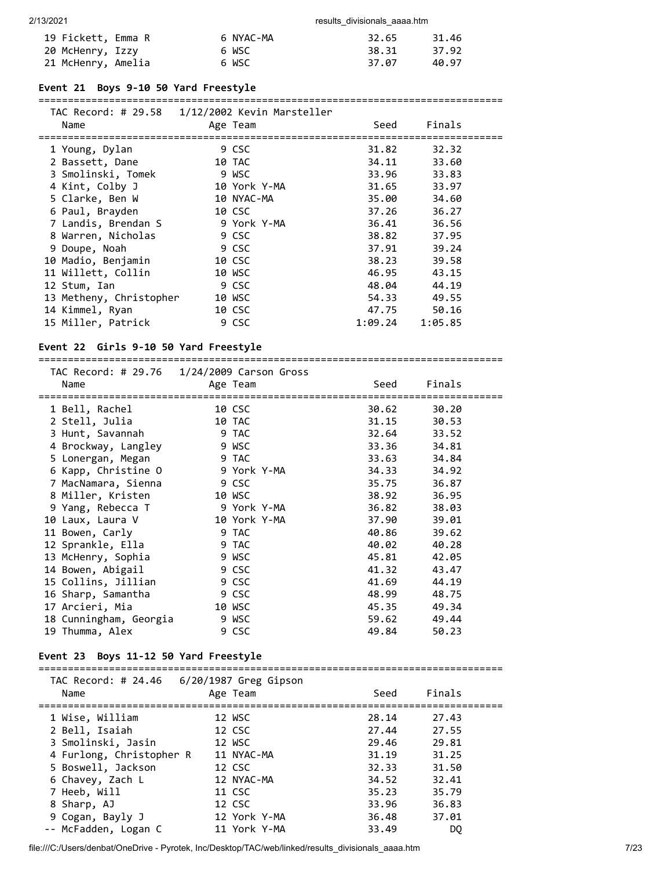| 19 Fickett, Emma R | 6 NYAC-MA | 32.65 | 31.46 |
|--------------------|-----------|-------|-------|
| 20 McHenry, Izzy   | 6 WSC     | 38.31 | 37.92 |
| 21 McHenry, Amelia | 6 WSC     | 37.07 | 40.97 |

### **Event 21 Boys 9-10 50 Yard Freestyle**

#### ===============================================================================

| Name | TAC Record: # 29.58   1/12/2002 Kevin Marsteller | Age Team     | Seed    | Finals  |  |
|------|--------------------------------------------------|--------------|---------|---------|--|
|      |                                                  |              |         |         |  |
|      | 1 Young, Dylan                                   | 9 CSC        | 31.82   | 32.32   |  |
|      | 2 Bassett, Dane                                  | 10 TAC       | 34.11   | 33.60   |  |
|      | 3 Smolinski, Tomek                               | 9 WSC        | 33.96   | 33.83   |  |
|      | 4 Kint, Colby J                                  | 10 York Y-MA | 31.65   | 33.97   |  |
|      | 5 Clarke, Ben W                                  | 10 NYAC-MA   | 35.00   | 34.60   |  |
|      | 6 Paul, Brayden                                  | 10 CSC       | 37.26   | 36.27   |  |
|      | 7 Landis, Brendan S                              | 9 York Y-MA  | 36.41   | 36.56   |  |
|      | 8 Warren, Nicholas                               | 9 CSC        | 38.82   | 37.95   |  |
|      | 9 Doupe, Noah                                    | 9 CSC        | 37.91   | 39.24   |  |
|      | 10 Madio, Benjamin                               | 10 CSC       | 38.23   | 39.58   |  |
|      | 11 Willett, Collin                               | 10 WSC       | 46.95   | 43.15   |  |
|      | 12 Stum, Ian                                     | 9 CSC        | 48.04   | 44.19   |  |
|      | 13 Metheny, Christopher                          | 10 WSC       | 54.33   | 49.55   |  |
|      | 14 Kimmel, Ryan                                  | 10 CSC       | 47.75   | 50.16   |  |
|      | 15 Miller, Patrick                               | 9 CSC        | 1:09.24 | 1:05.85 |  |

### **Event 22 Girls 9-10 50 Yard Freestyle**

===============================================================================

| Name                   | TAC Record: # 29.76 1/24/2009 Carson Gross<br>Age Team | Seed  | Finals |  |
|------------------------|--------------------------------------------------------|-------|--------|--|
| 1 Bell, Rachel         | 10 CSC                                                 | 30.62 | 30.20  |  |
| 2 Stell, Julia         | 10 TAC                                                 | 31.15 | 30.53  |  |
| 3 Hunt, Savannah       | 9 TAC                                                  | 32.64 | 33.52  |  |
| 4 Brockway, Langley    | 9 WSC                                                  | 33.36 | 34.81  |  |
| 5 Lonergan, Megan      | 9 TAC                                                  | 33.63 | 34.84  |  |
| 6 Kapp, Christine O    | 9 York Y-MA                                            | 34.33 | 34.92  |  |
| 7 MacNamara, Sienna    | 9 CSC                                                  | 35.75 | 36.87  |  |
| 8 Miller, Kristen      | 10 WSC                                                 | 38.92 | 36.95  |  |
| 9 Yang, Rebecca T      | 9 York Y-MA                                            | 36.82 | 38.03  |  |
| 10 Laux, Laura V       | 10 York Y-MA                                           | 37.90 | 39.01  |  |
| 11 Bowen, Carly        | 9 TAC                                                  | 40.86 | 39.62  |  |
| 12 Sprankle, Ella      | 9 TAC                                                  | 40.02 | 40.28  |  |
| 13 McHenry, Sophia     | 9 WSC                                                  | 45.81 | 42.05  |  |
| 14 Bowen, Abigail      | 9 CSC                                                  | 41.32 | 43.47  |  |
| 15 Collins, Jillian    | 9 CSC                                                  | 41.69 | 44.19  |  |
| 16 Sharp, Samantha     | 9 CSC                                                  | 48.99 | 48.75  |  |
| 17 Arcieri, Mia        | 10 WSC                                                 | 45.35 | 49.34  |  |
| 18 Cunningham, Georgia | 9 WSC                                                  | 59.62 | 49.44  |  |
| 19 Thumma, Alex        | 9 CSC                                                  | 49.84 | 50.23  |  |

### **Event 23 Boys 11-12 50 Yard Freestyle**

| Name                     | TAC Record: # $24.46$ 6/20/1987 Greg Gipson<br>Age Team | Seed  | Finals |  |
|--------------------------|---------------------------------------------------------|-------|--------|--|
| 1 Wise, William          | 12 WSC                                                  | 28.14 | 27.43  |  |
| 2 Bell, Isaiah           | 12 CSC                                                  | 27.44 | 27.55  |  |
| 3 Smolinski, Jasin       | 12 WSC                                                  | 29.46 | 29.81  |  |
| 4 Furlong, Christopher R | 11 NYAC-MA                                              | 31.19 | 31.25  |  |
| 5 Boswell, Jackson       | 12 CSC                                                  | 32.33 | 31.50  |  |
| 6 Chavey, Zach L         | 12 NYAC-MA                                              | 34.52 | 32.41  |  |
| 7 Heeb, Will             | 11 CSC                                                  | 35.23 | 35.79  |  |
| 8 Sharp, AJ              | 12 CSC                                                  | 33.96 | 36.83  |  |
| 9 Cogan, Bayly J         | 12 York Y-MA                                            | 36.48 | 37.01  |  |
| -- McFadden, Logan C     | 11 York Y-MA                                            | 33.49 | DO     |  |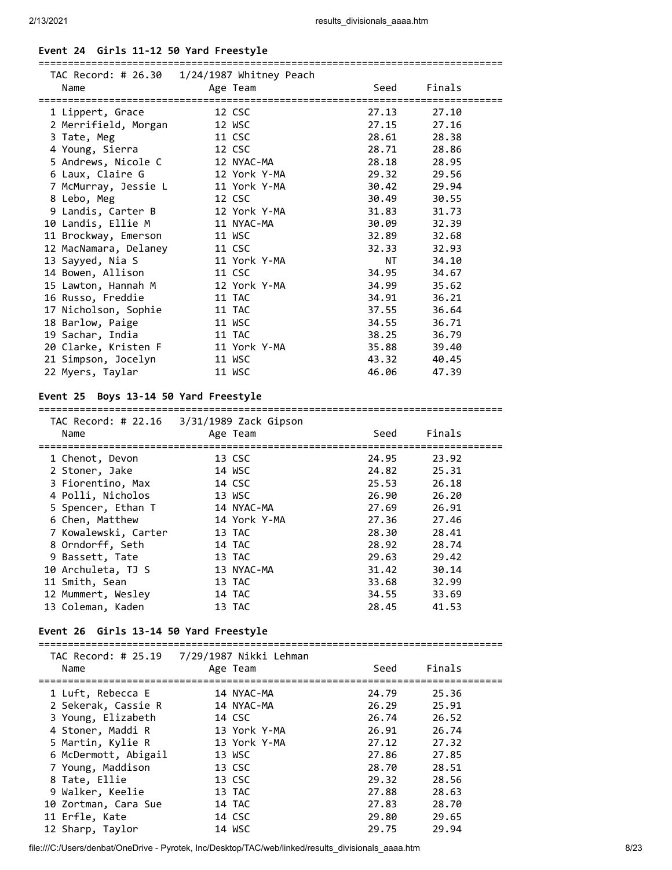### **Event 24 Girls 11-12 50 Yard Freestyle**

|                       | TAC Record: # 26.30  1/24/1987 Whitney Peach |                                                                                                                                                                                                                                |        |
|-----------------------|----------------------------------------------|--------------------------------------------------------------------------------------------------------------------------------------------------------------------------------------------------------------------------------|--------|
| Name                  | Age Team                                     | Seed                                                                                                                                                                                                                           | Finals |
|                       |                                              |                                                                                                                                                                                                                                |        |
| 1 Lippert, Grace      | 12 CSC                                       | 27.13                                                                                                                                                                                                                          | 27.10  |
| 2 Merrifield, Morgan  | 12 WSC                                       | 27.15                                                                                                                                                                                                                          | 27.16  |
| 3 Tate, Meg           | 11 CSC                                       | 28.61                                                                                                                                                                                                                          | 28.38  |
| 4 Young, Sierra       | 12 CSC                                       | 28.71                                                                                                                                                                                                                          | 28.86  |
| 5 Andrews, Nicole C   | 12 NYAC-MA                                   | 28.18                                                                                                                                                                                                                          | 28.95  |
| 6 Laux, Claire G      | 12 York Y-MA                                 | 29.32                                                                                                                                                                                                                          | 29.56  |
| 7 McMurray, Jessie L  | 11 York Y-MA                                 | 30.42                                                                                                                                                                                                                          | 29.94  |
| 8 Lebo, Meg           | 12 CSC                                       | 30.49                                                                                                                                                                                                                          | 30.55  |
| 9 Landis, Carter B    | 12 York Y-MA                                 | 31.83                                                                                                                                                                                                                          | 31.73  |
| 10 Landis, Ellie M    | 11 NYAC-MA                                   | 30.09                                                                                                                                                                                                                          | 32.39  |
| 11 Brockway, Emerson  | 11 WSC                                       | 32.89                                                                                                                                                                                                                          | 32.68  |
| 12 MacNamara, Delaney | 11 CSC                                       | 32.33                                                                                                                                                                                                                          | 32.93  |
| 13 Sayyed, Nia S      | 11 York Y-MA                                 | NT FOR THE STATE OF THE STATE OF THE STATE OF THE STATE OF THE STATE OF THE STATE OF THE STATE OF THE STATE OF THE STATE OF THE STATE OF THE STATE OF THE STATE OF THE STATE OF THE STATE OF THE STATE OF THE STATE OF THE STA | 34.10  |
| 14 Bowen, Allison     | 11 CSC                                       | 34.95                                                                                                                                                                                                                          | 34.67  |
| 15 Lawton, Hannah M   | 12 York Y-MA                                 | 34.99                                                                                                                                                                                                                          | 35.62  |
| 16 Russo, Freddie     | 11 TAC                                       | 34.91                                                                                                                                                                                                                          | 36.21  |
| 17 Nicholson, Sophie  | 11 TAC                                       | 37.55                                                                                                                                                                                                                          | 36.64  |
| 18 Barlow, Paige      | 11 WSC                                       | 34.55                                                                                                                                                                                                                          | 36.71  |
| 19 Sachar, India      | 11 TAC                                       | 38.25                                                                                                                                                                                                                          | 36.79  |
| 20 Clarke, Kristen F  | 11 York Y-MA                                 | 35.88                                                                                                                                                                                                                          | 39.40  |
| 21 Simpson, Jocelyn   | 11 WSC                                       | 43.32                                                                                                                                                                                                                          | 40.45  |
| 22 Myers, Taylar      | 11 WSC                                       | 46.06                                                                                                                                                                                                                          | 47.39  |

### **Event 25 Boys 13-14 50 Yard Freestyle**

#### =============================================================================== TAC Record: # 22.16 3/31/1989 Zack Gipson

|                             | TAC RECOPU. # 22.10 3/31/1989 ZACK GIPSON |       |        |  |
|-----------------------------|-------------------------------------------|-------|--------|--|
| Name                        | Age Team                                  | Seed  | Finals |  |
| =========================== |                                           |       |        |  |
| 1 Chenot, Devon             | 13 CSC                                    | 24.95 | 23.92  |  |
| 2 Stoner, Jake              | 14 WSC                                    | 24.82 | 25.31  |  |
| 3 Fiorentino, Max           | 14 CSC                                    | 25.53 | 26.18  |  |
| 4 Polli, Nicholos           | 13 WSC                                    | 26.90 | 26.20  |  |
| 5 Spencer, Ethan T          | 14 NYAC-MA                                | 27.69 | 26.91  |  |
| 6 Chen, Matthew             | 14 York Y-MA                              | 27.36 | 27.46  |  |
| 7 Kowalewski, Carter        | 13 TAC                                    | 28.30 | 28.41  |  |
| 8 Orndorff, Seth            | 14 TAC                                    | 28.92 | 28.74  |  |
| 9 Bassett, Tate             | 13 TAC                                    | 29.63 | 29.42  |  |
| 10 Archuleta, TJ S          | 13 NYAC-MA                                | 31.42 | 30.14  |  |
| 11 Smith, Sean              | 13 TAC                                    | 33.68 | 32.99  |  |
| 12 Mummert, Wesley          | 14 TAC                                    | 34.55 | 33.69  |  |
| 13 Coleman, Kaden           | 13 TAC                                    | 28.45 | 41.53  |  |
|                             |                                           |       |        |  |

#### **Event 26 Girls 13-14 50 Yard Freestyle**

=============================================================================== TAC Record: # 25.19 7/29/1987 Nikki Lehman

|  | Name                         | IAC RECOLU. $\pi$ 25.15 (1/25/150) NIRRI LEHIMAH<br>Age Team | Seed  | Finals |
|--|------------------------------|--------------------------------------------------------------|-------|--------|
|  | ============================ |                                                              |       |        |
|  | 1 Luft, Rebecca E            | 14 NYAC-MA                                                   | 24.79 | 25.36  |
|  | 2 Sekerak, Cassie R          | 14 NYAC-MA                                                   | 26.29 | 25.91  |
|  | 3 Young, Elizabeth           | 14 CSC                                                       | 26.74 | 26.52  |
|  | 4 Stoner, Maddi R            | 13 York Y-MA                                                 | 26.91 | 26.74  |
|  | 5 Martin, Kylie R            | 13 York Y-MA                                                 | 27.12 | 27.32  |
|  | 6 McDermott, Abigail         | 13 WSC                                                       | 27.86 | 27.85  |
|  | 7 Young, Maddison            | 13 CSC                                                       | 28.70 | 28.51  |
|  | 8 Tate, Ellie                | 13 CSC                                                       | 29.32 | 28.56  |
|  | 9 Walker, Keelie             | 13 TAC                                                       | 27.88 | 28.63  |
|  | 10 Zortman, Cara Sue         | 14 TAC                                                       | 27.83 | 28.70  |
|  | 11 Erfle, Kate               | 14 CSC                                                       | 29.80 | 29.65  |
|  | 12 Sharp, Taylor             | 14 WSC                                                       | 29.75 | 29.94  |
|  |                              |                                                              |       |        |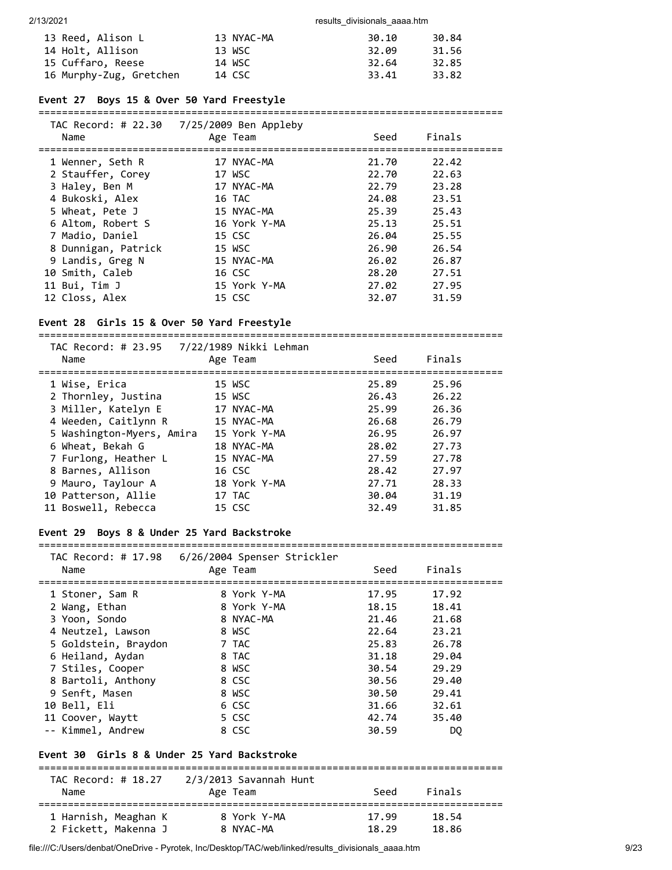| 13 Reed, Alison L       | 13 NYAC-MA | 30.10 | 30.84 |
|-------------------------|------------|-------|-------|
| 14 Holt, Allison        | 13 WSC     | 32.09 | 31.56 |
| 15 Cuffaro, Reese       | 14 WSC     | 32.64 | 32.85 |
| 16 Murphy-Zug, Gretchen | 14 CSC     | 33.41 | 33.82 |

#### **Event 27 Boys 15 & Over 50 Yard Freestyle**

#### ===============================================================================

| TAC Record: # 22.30<br>Name                      | 7/25/2009 Ben Appleby<br>Age Team | Seed  | Finals |  |
|--------------------------------------------------|-----------------------------------|-------|--------|--|
| ============================<br>1 Wenner, Seth R | 17 NYAC-MA                        | 21.70 | 22.42  |  |
| 2 Stauffer, Corey                                | 17 WSC                            | 22.70 | 22.63  |  |
| 3 Haley, Ben M                                   | 17 NYAC-MA                        | 22.79 | 23.28  |  |
| 4 Bukoski, Alex                                  | 16 TAC                            | 24.08 | 23.51  |  |
| 5 Wheat, Pete J                                  | 15 NYAC-MA                        | 25.39 | 25.43  |  |
| 6 Altom, Robert S                                | 16 York Y-MA                      | 25.13 | 25.51  |  |
| 7 Madio, Daniel                                  | 15 CSC                            | 26.04 | 25.55  |  |
| 8 Dunnigan, Patrick                              | 15 WSC                            | 26.90 | 26.54  |  |
| 9 Landis, Greg N                                 | 15 NYAC-MA                        | 26.02 | 26.87  |  |
| 10 Smith, Caleb                                  | 16 CSC                            | 28.20 | 27.51  |  |
| 11 Bui, Tim J                                    | 15 York Y-MA                      | 27.02 | 27.95  |  |
| 12 Closs, Alex                                   | 15 CSC                            | 32.07 | 31.59  |  |

### **Event 28 Girls 15 & Over 50 Yard Freestyle**

===============================================================================

| TAC Record: # 23.95 7/22/1989 Nikki Lehman<br>Name | Age Team     | Seed  | Finals |  |
|----------------------------------------------------|--------------|-------|--------|--|
| 1 Wise, Erica                                      | 15 WSC       | 25.89 | 25.96  |  |
| 2 Thornley, Justina                                | 15 WSC       | 26.43 | 26.22  |  |
| 3 Miller, Katelyn E                                | 17 NYAC-MA   | 25.99 | 26.36  |  |
| 4 Weeden, Caitlynn R                               | 15 NYAC-MA   | 26.68 | 26.79  |  |
| 5 Washington-Myers, Amira                          | 15 York Y-MA | 26.95 | 26.97  |  |
| 6 Wheat, Bekah G                                   | 18 NYAC-MA   | 28.02 | 27.73  |  |
| 7 Furlong, Heather L                               | 15 NYAC-MA   | 27.59 | 27.78  |  |
| 8 Barnes, Allison                                  | 16 CSC       | 28.42 | 27.97  |  |
| 9 Mauro, Taylour A                                 | 18 York Y-MA | 27.71 | 28.33  |  |
| 10 Patterson, Allie                                | 17 TAC       | 30.04 | 31.19  |  |
| 11 Boswell, Rebecca                                | 15 CSC       | 32.49 | 31.85  |  |

### **Event 29 Boys 8 & Under 25 Yard Backstroke**

===============================================================================

| TAC Record: # 17.98<br>Name | 6/26/2004 Spenser Strickler<br>Age Team | Seed  | Finals |  |
|-----------------------------|-----------------------------------------|-------|--------|--|
|                             |                                         |       |        |  |
| 1 Stoner, Sam R             | 8 York Y-MA                             | 17.95 | 17.92  |  |
| 2 Wang, Ethan               | 8 York Y-MA                             | 18.15 | 18.41  |  |
| 3 Yoon, Sondo               | 8 NYAC-MA                               | 21.46 | 21.68  |  |
| 4 Neutzel, Lawson           | 8 WSC                                   | 22.64 | 23.21  |  |
| 5 Goldstein, Braydon        | 7 TAC                                   | 25.83 | 26.78  |  |
|                             |                                         |       |        |  |

| 6 Heiland, Aydan   | 8 TAC | 31.18 | 29.04 |
|--------------------|-------|-------|-------|
| 7 Stiles, Cooper   | 8 WSC | 30.54 | 29.29 |
| 8 Bartoli, Anthony | 8 CSC | 30.56 | 29.40 |
| 9 Senft, Masen     | 8 WSC | 30.50 | 29.41 |
| 10 Bell, Eli       | 6 CSC | 31.66 | 32.61 |
| 11 Coover, Waytt   | 5 CSC | 42.74 | 35.40 |
| -- Kimmel, Andrew  | 8 CSC | 30.59 | DO.   |

## **Event 30 Girls 8 & Under 25 Yard Backstroke**

| TAC Record: # 18.27<br>Name | 2/3/2013 Savannah Hunt<br>Age Team | Seed  | Finals |  |
|-----------------------------|------------------------------------|-------|--------|--|
| 1 Harnish, Meaghan K        | 8 York Y-MA                        | 17.99 | 18.54  |  |
| 2 Fickett, Makenna J        | 8 NYAC-MA                          | 18.29 | 18.86  |  |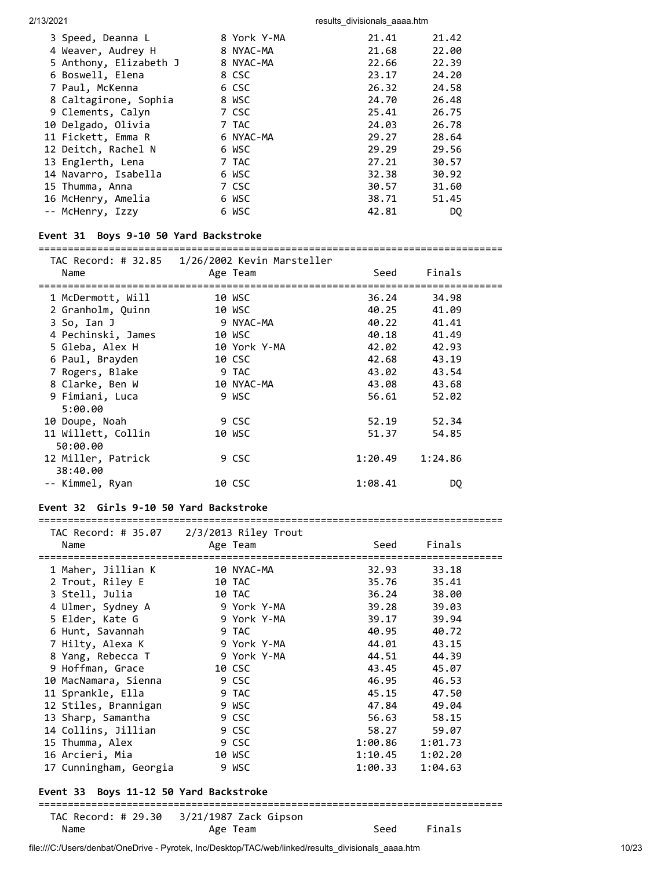| 3 Speed, Deanna L      | 8 York Y-MA | 21.41 | 21.42 |
|------------------------|-------------|-------|-------|
| 4 Weaver, Audrey H     | 8 NYAC-MA   | 21.68 | 22.00 |
| 5 Anthony, Elizabeth J | 8 NYAC-MA   | 22.66 | 22.39 |
| 6 Boswell, Elena       | 8 CSC       | 23.17 | 24.20 |
| 7 Paul, McKenna        | 6 CSC       | 26.32 | 24.58 |
| 8 Caltagirone, Sophia  | 8 WSC       | 24.70 | 26.48 |
| 9 Clements, Calyn      | 7 CSC       | 25.41 | 26.75 |
| 10 Delgado, Olivia     | 7 TAC       | 24.03 | 26.78 |
| 11 Fickett, Emma R     | 6 NYAC-MA   | 29.27 | 28.64 |
| 12 Deitch, Rachel N    | 6 WSC       | 29.29 | 29.56 |
| 13 Englerth, Lena      | 7 TAC       | 27.21 | 30.57 |
| 14 Navarro, Isabella   | 6 WSC       | 32.38 | 30.92 |
| 15 Thumma, Anna        | 7 CSC       | 30.57 | 31.60 |
| 16 McHenry, Amelia     | 6 WSC       | 38.71 | 51.45 |
| -- McHenry, Izzy       | 6 WSC       | 42.81 | DQ.   |

## **Event 31 Boys 9-10 50 Yard Backstroke**

===============================================================================

| Name<br>====================== | TAC Record: # 32.85   1/26/2002 Kevin Marsteller<br>Age Team | Seed    | Finals      |  |
|--------------------------------|--------------------------------------------------------------|---------|-------------|--|
| 1 McDermott, Will              | 10 WSC                                                       |         | 36.24 34.98 |  |
| 2 Granholm, Quinn              | 10 WSC                                                       | 40.25   | 41.09       |  |
| 3 So, Ian J                    | 9 NYAC-MA                                                    | 40.22   | 41.41       |  |
| 4 Pechinski, James             | 10 WSC                                                       | 40.18   | 41.49       |  |
| 5 Gleba, Alex H                | 10 York Y-MA                                                 | 42.02   | 42.93       |  |
| 6 Paul, Brayden                | 10 CSC                                                       | 42.68   | 43.19       |  |
| 7 Rogers, Blake                | 9 TAC                                                        | 43.02   | 43.54       |  |
| 8 Clarke, Ben W                | 10 NYAC-MA                                                   | 43.08   | 43.68       |  |
| 9 Fimiani, Luca                | 9 WSC                                                        | 56.61   | 52.02       |  |
| 5:00.00                        |                                                              |         |             |  |
| 10 Doupe, Noah                 | 9 CSC                                                        | 52.19   | 52.34       |  |
| 11 Willett, Collin<br>50:00.00 | 10 WSC                                                       | 51.37   | 54.85       |  |
| 12 Miller, Patrick<br>38:40.00 | 9 CSC                                                        | 1:20.49 | 1:24.86     |  |
| -- Kimmel, Ryan                | 10 CSC                                                       | 1:08.41 | DQ.         |  |

### **Event 32 Girls 9-10 50 Yard Backstroke**

===============================================================================

| Name                                   | <b>Example 2</b> Age Team   |                 | Seed Finals |  |  |  |
|----------------------------------------|-----------------------------|-----------------|-------------|--|--|--|
|                                        |                             |                 |             |  |  |  |
|                                        |                             |                 | 32.93 33.18 |  |  |  |
| 2 Trout, Riley E                       | 10 TAC                      |                 | 35.76 35.41 |  |  |  |
| 3 Stell, Julia                         | 10 TAC 2012                 | 36.24           | 38.00       |  |  |  |
| 4 Ulmer, Sydney A 9 York Y-MA          |                             | 39.28           | 39.03       |  |  |  |
|                                        | 5 Elder, Kate G 9 York Y-MA | 39.17           | 39.94       |  |  |  |
| 6 Hunt, Savannah 9 TAC                 |                             | 40.95           | 40.72       |  |  |  |
| 7 Hilty, Alexa K                       | 9 York Y-MA                 | 44.01           | 43.15       |  |  |  |
| 8 Yang, Rebecca T 9 York Y-MA          |                             | 44.51           | 44.39       |  |  |  |
| 9 Hoffman, Grace 10 CSC                |                             |                 | 43.45 45.07 |  |  |  |
| 10 MacNamara, Sienna 10 SSC            |                             | 46.95           | 46.53       |  |  |  |
| 11 Sprankle, Ella                      | <b>Example 19 TAC</b>       | 45.15           | 47.50       |  |  |  |
| 12 Stiles, Brannigan 9 WSC             |                             | 47.84           | 49.04       |  |  |  |
| 13 Sharp, Samantha 9 CSC               |                             |                 | 56.63 58.15 |  |  |  |
| 14 Collins, Jillian 9 CSC              |                             |                 | 58.27 59.07 |  |  |  |
| 15 Thumma, Alex 9 CSC                  |                             | 1:00.86 1:01.73 |             |  |  |  |
| 16 Arcieri, Mia                        | 10 WSC                      | 1:10.45         | 1:02.20     |  |  |  |
| 17 Cunningham, Georgia 9 WSC           |                             | 1:00.33         | 1:04.63     |  |  |  |
| Event 33 Boys 11-12 50 Yard Backstroke |                             |                 |             |  |  |  |
|                                        |                             |                 |             |  |  |  |

#### ===============================================================================

|      | TAC Record: # 29.30 3/21/1987 Zack Gipson |             |
|------|-------------------------------------------|-------------|
| Name | Age Team                                  | Seed Finals |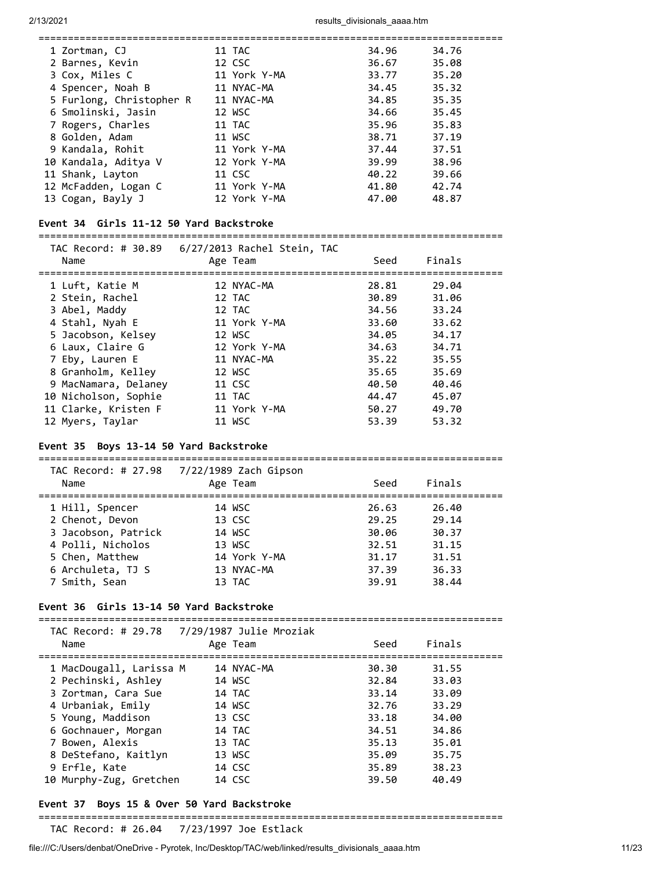| 11 TAC                                                                                                                                                                                                                                                                        | 34.96 | 34.76 |
|-------------------------------------------------------------------------------------------------------------------------------------------------------------------------------------------------------------------------------------------------------------------------------|-------|-------|
| 12 CSC                                                                                                                                                                                                                                                                        | 36.67 | 35.08 |
| 11 York Y-MA                                                                                                                                                                                                                                                                  | 33.77 | 35.20 |
| 11 NYAC-MA                                                                                                                                                                                                                                                                    | 34.45 | 35.32 |
| 11 NYAC-MA                                                                                                                                                                                                                                                                    | 34.85 | 35.35 |
| 12 WSC                                                                                                                                                                                                                                                                        | 34.66 | 35.45 |
| 11 TAC                                                                                                                                                                                                                                                                        | 35.96 | 35.83 |
| 11 WSC                                                                                                                                                                                                                                                                        | 38.71 | 37.19 |
| 11 York Y-MA                                                                                                                                                                                                                                                                  | 37.44 | 37.51 |
| 12 York Y-MA                                                                                                                                                                                                                                                                  | 39.99 | 38.96 |
| 11 CSC                                                                                                                                                                                                                                                                        | 40.22 | 39.66 |
| 11 York Y-MA                                                                                                                                                                                                                                                                  | 41.80 | 42.74 |
| 12 York Y-MA                                                                                                                                                                                                                                                                  | 47.00 | 48.87 |
| 1 Zortman, CJ<br>2 Barnes, Kevin<br>3 Cox, Miles C<br>4 Spencer, Noah B<br>5 Furlong, Christopher R<br>6 Smolinski, Jasin<br>7 Rogers, Charles<br>8 Golden, Adam<br>9 Kandala, Rohit<br>10 Kandala, Aditya V<br>11 Shank, Layton<br>12 McFadden, Logan C<br>13 Cogan, Bayly J |       |       |

### **Event 34 Girls 11-12 50 Yard Backstroke**

===============================================================================

| Name                 | Age Team     | Seed  | Finals |
|----------------------|--------------|-------|--------|
| 1 Luft, Katie M      | 12 NYAC-MA   | 28.81 | 29.04  |
| 2 Stein, Rachel      | 12 TAC       | 30.89 | 31.06  |
| 3 Abel, Maddy        | 12 TAC       | 34.56 | 33.24  |
| 4 Stahl, Nyah E      | 11 York Y-MA | 33.60 | 33.62  |
| 5 Jacobson, Kelsey   | 12 WSC       | 34.05 | 34.17  |
| 6 Laux, Claire G     | 12 York Y-MA | 34.63 | 34.71  |
| 7 Eby, Lauren E      | 11 NYAC-MA   | 35.22 | 35.55  |
| 8 Granholm, Kelley   | 12 WSC       | 35.65 | 35.69  |
| 9 MacNamara, Delaney | 11 CSC       | 40.50 | 40.46  |
| 10 Nicholson, Sophie | 11 TAC       | 44.47 | 45.07  |
| 11 Clarke, Kristen F | 11 York Y-MA | 50.27 | 49.70  |
| 12 Myers, Taylar     | 11 WSC       | 53.39 | 53.32  |

# **Event 35 Boys 13-14 50 Yard Backstroke**

| 7/22/1989 Zach Gipson<br>TAC Record: # 27.98<br>Finals<br>Age Team<br>Name<br>Seed                                                                                                                                                                                                                                                                    |  |
|-------------------------------------------------------------------------------------------------------------------------------------------------------------------------------------------------------------------------------------------------------------------------------------------------------------------------------------------------------|--|
| 26.40<br>1 Hill, Spencer<br>14 WSC<br>26.63<br>2 Chenot, Devon<br>13 CSC<br>29.25<br>29.14<br>3 Jacobson, Patrick<br>30.06<br>30.37<br>14 WSC<br>4 Polli, Nicholos<br>31.15<br>13 WSC<br>32.51<br>5 Chen, Matthew<br>14 York Y-MA<br>31.17<br>31.51<br>6 Archuleta, TJ S<br>13 NYAC-MA<br>37.39<br>36.33<br>7 Smith, Sean<br>39.91<br>38.44<br>13 TAC |  |

### **Event 36 Girls 13-14 50 Yard Backstroke**

| Name                    | $1.72$ Necol a. $\pi$ 29.70 $\pi$ 77.297.307 30116 INV210N<br>Age Team | Seed  | Finals |  |
|-------------------------|------------------------------------------------------------------------|-------|--------|--|
| 1 MacDougall, Larissa M | 14 NYAC-MA                                                             | 30.30 | 31.55  |  |
| 2 Pechinski, Ashley     | 14 WSC                                                                 | 32.84 | 33.03  |  |
| 3 Zortman, Cara Sue     | 14 TAC                                                                 | 33.14 | 33.09  |  |
| 4 Urbaniak, Emily       | 14 WSC                                                                 | 32.76 | 33.29  |  |
| 5 Young, Maddison       | 13 CSC                                                                 | 33.18 | 34.00  |  |
| 6 Gochnauer, Morgan     | 14 TAC                                                                 | 34.51 | 34.86  |  |
| 7 Bowen, Alexis         | 13 TAC                                                                 | 35.13 | 35.01  |  |
| 8 DeStefano, Kaitlyn    | 13 WSC                                                                 | 35.09 | 35.75  |  |
| 9 Erfle, Kate           | 14 CSC                                                                 | 35.89 | 38.23  |  |
| 10 Murphy-Zug, Gretchen | 14 CSC                                                                 | 39.50 | 40.49  |  |

## **Event 37 Boys 15 & Over 50 Yard Backstroke**

===============================================================================

TAC Record: # 26.04 7/23/1997 Joe Estlack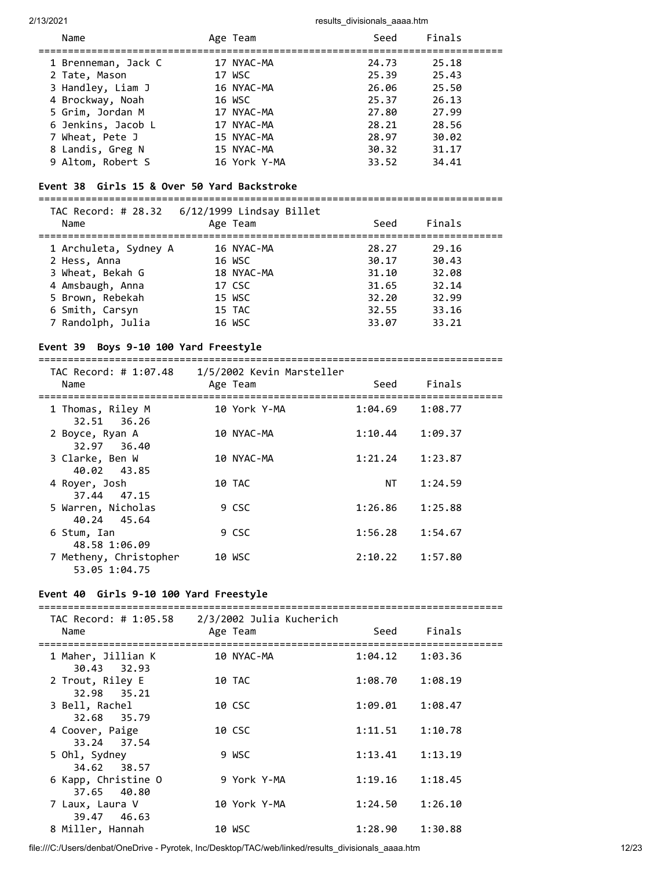| Name                | Age Team     | Seed  | Finals |
|---------------------|--------------|-------|--------|
| 1 Brenneman, Jack C | 17 NYAC-MA   | 24.73 | 25.18  |
| 2 Tate, Mason       | 17 WSC       | 25.39 | 25.43  |
| 3 Handley, Liam J   | 16 NYAC-MA   | 26.06 | 25.50  |
| 4 Brockway, Noah    | 16 WSC       | 25.37 | 26.13  |
| 5 Grim, Jordan M    | 17 NYAC-MA   | 27.80 | 27.99  |
| 6 Jenkins, Jacob L  | 17 NYAC-MA   | 28.21 | 28.56  |
| 7 Wheat, Pete J     | 15 NYAC-MA   | 28.97 | 30.02  |
| 8 Landis, Greg N    | 15 NYAC-MA   | 30.32 | 31.17  |
| 9 Altom, Robert S   | 16 York Y-MA | 33.52 | 34.41  |

# **Event 38 Girls 15 & Over 50 Yard Backstroke**

=============================================================================== TAC Record: # 28.32 6/12/1999 Lindsay Billet Name **Age Team** Age Team Seed Finals =============================================================================== 1 Archuleta, Sydney A 16 NYAC-MA 28.27 29.16 2 Hess, Anna 16 WSC 30.17 30.43 3 Wheat, Bekah G 18 NYAC-MA 31.10 32.08 4 Amsbaugh, Anna 17 CSC 31.65 32.14 5 Brown, Rebekah 15 WSC 32.20 32.99 6 Smith, Carsyn 15 TAC 32.55 33.16 7 Randolph, Julia 16 WSC 33.07 33.21

#### **Event 39 Boys 9-10 100 Yard Freestyle**

===============================================================================

| TAC Record: # 1:07.48<br>Name           | 1/5/2002 Kevin Marsteller<br>Age Team | Seed    | Finals  |  |
|-----------------------------------------|---------------------------------------|---------|---------|--|
| 1 Thomas, Riley M<br>32.51 36.26        | 10 York Y-MA                          | 1:04.69 | 1:08.77 |  |
| 2 Boyce, Ryan A<br>32.97 36.40          | 10 NYAC-MA                            | 1:10.44 | 1:09.37 |  |
| 3 Clarke, Ben W<br>40.02 43.85          | 10 NYAC-MA                            | 1:21.24 | 1:23.87 |  |
| 4 Royer, Josh<br>37.44 47.15            | 10 TAC                                | NT      | 1:24.59 |  |
| 5 Warren, Nicholas<br>40.24 45.64       | 9 CSC                                 | 1:26.86 | 1:25.88 |  |
| 6 Stum, Ian<br>48.58 1:06.09            | 9 CSC                                 | 1:56.28 | 1:54.67 |  |
| 7 Metheny, Christopher<br>53.05 1:04.75 | 10 WSC                                | 2:10.22 | 1:57.80 |  |

#### **Event 40 Girls 9-10 100 Yard Freestyle**

| TAC Record: # 1:05.58<br>Name      | 2/3/2002 Julia Kucherich<br>Age Team | Seed    | Finals  |  |
|------------------------------------|--------------------------------------|---------|---------|--|
| 1 Maher, Jillian K<br>30.43 32.93  | 10 NYAC-MA                           | 1:04.12 | 1:03.36 |  |
| 2 Trout, Riley E<br>32.98 35.21    | 10 TAC                               | 1:08.70 | 1:08.19 |  |
| 3 Bell, Rachel<br>32.68 35.79      | 10 CSC                               | 1:09.01 | 1:08.47 |  |
| 4 Coover, Paige<br>33.24 37.54     | 10 CSC                               | 1:11.51 | 1:10.78 |  |
| 5 Ohl, Sydney<br>34.62 38.57       | 9 WSC                                | 1:13.41 | 1:13.19 |  |
| 6 Kapp, Christine O<br>37.65 40.80 | 9 York Y-MA                          | 1:19.16 | 1:18.45 |  |
| 7 Laux, Laura V<br>39.47 46.63     | 10 York Y-MA                         | 1:24.50 | 1:26.10 |  |
| 8 Miller, Hannah                   | 10 WSC                               | 1:28.90 | 1:30.88 |  |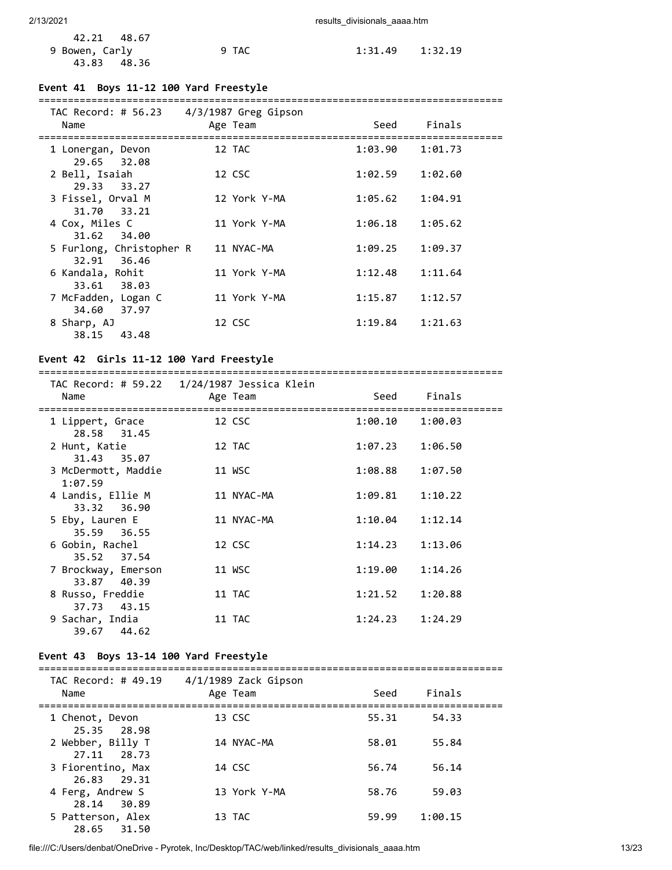| 42.21 48.67    |       |                     |  |
|----------------|-------|---------------------|--|
| 9 Bowen, Carly | 9 TAC | $1:31.49$ $1:32.19$ |  |
| 43.83 48.36    |       |                     |  |

### **Event 41 Boys 11-12 100 Yard Freestyle**

| TAC Record: # 56.23 4/3/1987 Greg Gipson |              |                    |
|------------------------------------------|--------------|--------------------|
| Name                                     | Age Team     | Finals<br>Seed     |
| 1 Lonergan, Devon                        | 12 TAC       | 1:03.90<br>1:01.73 |
| 29.65 32.08<br>2 Bell, Isaiah            | 12 CSC       | 1:02.59<br>1:02.60 |
| 29.33 33.27<br>3 Fissel, Orval M         | 12 York Y-MA | 1:04.91<br>1:05.62 |
| 31.70 33.21<br>4 Cox, Miles C            | 11 York Y-MA | 1:05.62<br>1:06.18 |
| 31.62 34.00<br>5 Furlong, Christopher R  | 11 NYAC-MA   | 1:09.25<br>1:09.37 |
| 36.46<br>32.91                           |              |                    |
| 6 Kandala, Rohit<br>33.61 38.03          | 11 York Y-MA | 1:12.48<br>1:11.64 |
| 7 McFadden, Logan C<br>34.60 37.97       | 11 York Y-MA | 1:15.87<br>1:12.57 |
| 8 Sharp, AJ<br>43.48<br>38.15            | 12 CSC       | 1:21.63<br>1:19.84 |

### **Event 42 Girls 11-12 100 Yard Freestyle**

=============================================================================== TAC Record: # 59.22 1/24/1987 Jessica Klein

| Name                                          | Age Team   | Seed                | Finals                  |  |
|-----------------------------------------------|------------|---------------------|-------------------------|--|
| 1 Lippert, Grace<br>28.58 31.45               | 12 CSC     | $1:00.10$ $1:00.03$ | ======================= |  |
| 2 Hunt, Katie<br>31.43 35.07                  | 12 TAC     | 1:07.23             | 1:06.50                 |  |
| 3 McDermott, Maddie<br>1:07.59                | 11 WSC     | 1:08.88             | 1:07.50                 |  |
| 4 Landis, Ellie M<br>33.32 36.90              | 11 NYAC-MA | 1:09.81             | 1:10.22                 |  |
| 5 Eby, Lauren E<br>35.59 36.55                | 11 NYAC-MA | 1:10.04             | 1:12.14                 |  |
| 6 Gobin, Rachel<br>35.52 37.54                | 12 CSC     | $1:14.23$ $1:13.06$ |                         |  |
| 7 Brockway, Emerson<br>33.87 40.39            | 11 WSC     | 1:19.00             | 1:14.26                 |  |
| 8 Russo, Freddie                              | 11 TAC     | 1:21.52             | 1:20.88                 |  |
| 37.73 43.15<br>9 Sachar, India<br>39.67 44.62 | 11 TAC     | 1:24.23             | 1:24.29                 |  |

### **Event 43 Boys 13-14 100 Yard Freestyle**

| TAC Record: # 49.19<br>Name      | 4/1/1989 Zack Gipson<br>Age Team | Seed  | Finals  |  |
|----------------------------------|----------------------------------|-------|---------|--|
| 1 Chenot, Devon<br>25.35 28.98   | 13 CSC                           | 55.31 | 54.33   |  |
| 2 Webber, Billy T<br>27.11 28.73 | 14 NYAC-MA                       | 58.01 | 55.84   |  |
| 3 Fiorentino, Max<br>26.83 29.31 | 14 CSC                           | 56.74 | 56.14   |  |
| 4 Ferg, Andrew S<br>28.14 30.89  | 13 York Y-MA                     | 58.76 | 59.03   |  |
| 5 Patterson, Alex<br>28.65 31.50 | 13 TAC                           | 59.99 | 1:00.15 |  |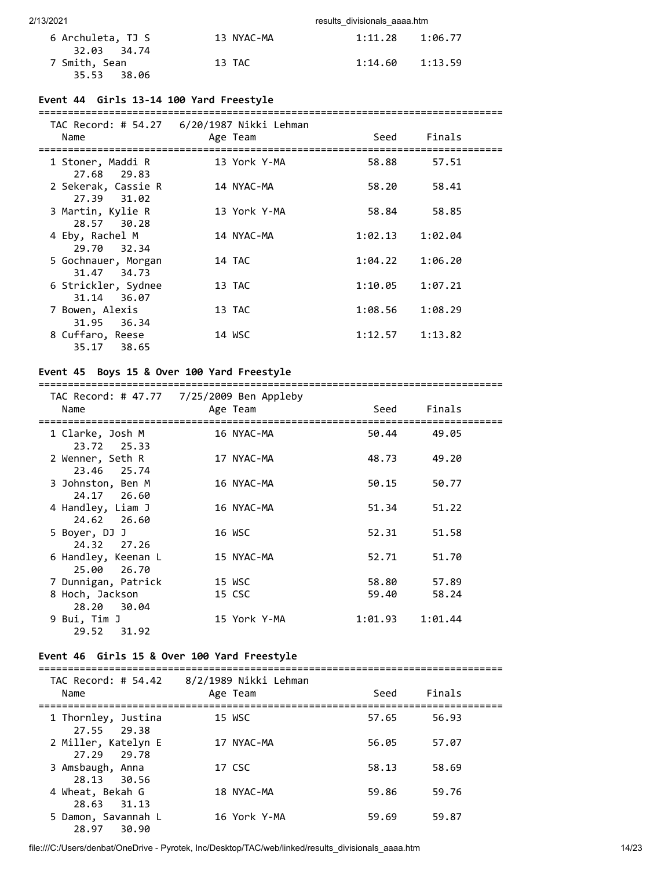| 6 Archuleta, TJ S | 13 NYAC-MA | $1:11.28$ $1:06.77$ |  |
|-------------------|------------|---------------------|--|
| 32.03 34.74       |            |                     |  |
| 7 Smith, Sean     | 13 TAC     | $1:14.60$ $1:13.59$ |  |
| 35.53 38.06       |            |                     |  |

### **Event 44 Girls 13-14 100 Yard Freestyle**

#### ===============================================================================

| Name                                 | Age Team     | Seed    | Finals  |  |
|--------------------------------------|--------------|---------|---------|--|
| 1 Stoner, Maddi R<br>27.68 29.83     | 13 York Y-MA | 58.88   | 57.51   |  |
| 2 Sekerak, Cassie R<br>27.39 31.02   | 14 NYAC-MA   | 58.20   | 58.41   |  |
| 3 Martin, Kylie R<br>28.57 30.28     | 13 York Y-MA | 58.84   | 58.85   |  |
| 4 Eby, Rachel M<br>29.70 32.34       | 14 NYAC-MA   | 1:02.13 | 1:02.04 |  |
| 5 Gochnauer, Morgan<br>31.47 34.73   | 14 TAC       | 1:04.22 | 1:06.20 |  |
| 6 Strickler, Sydnee<br>31.14 36.07   | 13 TAC       | 1:10.05 | 1:07.21 |  |
| 7 Bowen, Alexis<br>36.34<br>31.95    | 13 TAC       | 1:08.56 | 1:08.29 |  |
| 8 Cuffaro, Reese<br>35.17<br>- 38.65 | 14 WSC       | 1:12.57 | 1:13.82 |  |
|                                      |              |         |         |  |

### **Event 45 Boys 15 & Over 100 Yard Freestyle**

# ===============================================================================

| Name                                  | TAC Record: # 47.77 7/25/2009 Ben Appleby<br>Age Team | Seed    | Finals  |  |
|---------------------------------------|-------------------------------------------------------|---------|---------|--|
| 1 Clarke, Josh M<br>23.72 25.33       | 16 NYAC-MA                                            | 50.44   | 49.05   |  |
| 2 Wenner, Seth R<br>23.46 25.74       | 17 NYAC-MA                                            | 48.73   | 49.20   |  |
| 3 Johnston, Ben M<br>24.17 26.60      | 16 NYAC-MA                                            | 50.15   | 50.77   |  |
| 4 Handley, Liam J<br>24.62 26.60      | 16 NYAC-MA                                            | 51.34   | 51.22   |  |
| 5 Boyer, DJ J<br>24.32 27.26          | 16 WSC                                                | 52.31   | 51.58   |  |
| 6 Handley, Keenan L<br>26.70<br>25.00 | 15 NYAC-MA                                            | 52.71   | 51.70   |  |
| 7 Dunnigan, Patrick                   | 15 WSC                                                | 58.80   | 57.89   |  |
| 8 Hoch, Jackson<br>28.20 30.04        | 15 CSC                                                | 59.40   | 58.24   |  |
| 9 Bui, Tim J<br>29.52 31.92           | 15 York Y-MA                                          | 1:01.93 | 1:01.44 |  |

### **Event 46 Girls 15 & Over 100 Yard Freestyle**

| Name                                  | TAC Record: # 54.42 8/2/1989 Nikki Lehman<br>Age Team | Seed  | Finals |  |
|---------------------------------------|-------------------------------------------------------|-------|--------|--|
| 1 Thornley, Justina<br>27.55 29.38    | 15 WSC                                                | 57.65 | 56.93  |  |
| 2 Miller, Katelyn E<br>27.29 29.78    | 17 NYAC-MA                                            | 56.05 | 57.07  |  |
| 3 Amsbaugh, Anna<br>28.13 30.56       | 17 CSC                                                | 58.13 | 58.69  |  |
| 4 Wheat, Bekah G<br>28.63 31.13       | 18 NYAC-MA                                            | 59.86 | 59.76  |  |
| 5 Damon, Savannah L<br>30.90<br>28.97 | 16 York Y-MA                                          | 59.69 | 59.87  |  |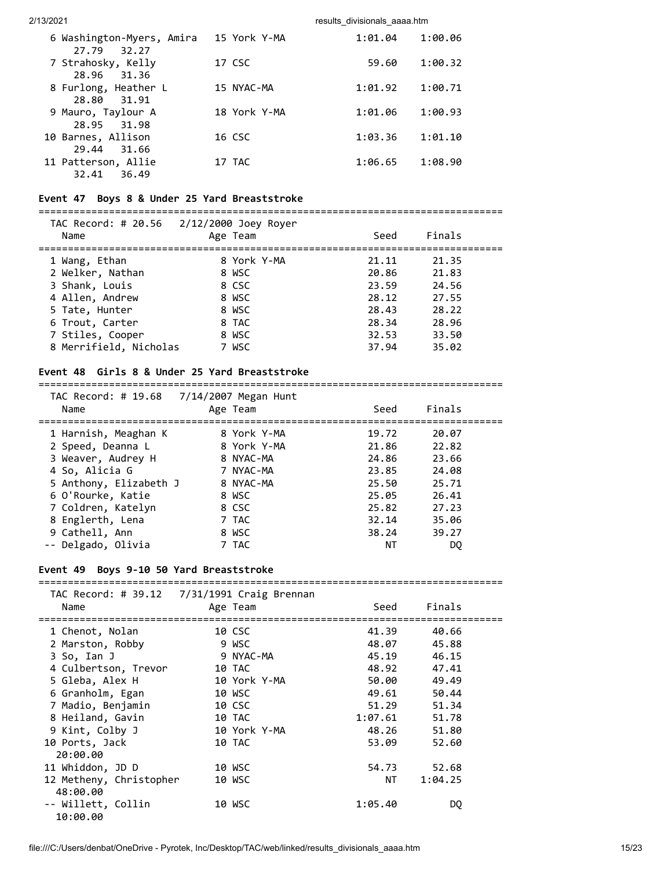| 6 Washington-Myers, Amira<br>32.27<br>27.79 | 15 York Y-MA | 1:01.04 | 1:00.06 |
|---------------------------------------------|--------------|---------|---------|
| 7 Strahosky, Kelly<br>28.96 31.36           | 17 CSC       | 59.60   | 1:00.32 |
| 8 Furlong, Heather L<br>28.80 31.91         | 15 NYAC-MA   | 1:01.92 | 1:00.71 |
| 9 Mauro, Taylour A<br>28.95 31.98           | 18 York Y-MA | 1:01.06 | 1:00.93 |
| 10 Barnes, Allison<br>29.44<br>31.66        | 16 CSC       | 1:03.36 | 1:01.10 |
| 11 Patterson, Allie<br>32.41<br>36.49       | 17 TAC       | 1:06.65 | 1:08.90 |

#### **Event 47 Boys 8 & Under 25 Yard Breaststroke**

===============================================================================

| Name                   | TAC Record: # 20.56 2/12/2000 Joey Royer<br>Age Team | Seed  | Finals |  |
|------------------------|------------------------------------------------------|-------|--------|--|
| 1 Wang, Ethan          | 8 York Y-MA                                          | 21.11 | 21.35  |  |
| 2 Welker, Nathan       | 8 WSC                                                | 20.86 | 21.83  |  |
| 3 Shank, Louis         | 8 CSC                                                | 23.59 | 24.56  |  |
| 4 Allen, Andrew        | 8 WSC                                                | 28.12 | 27.55  |  |
| 5 Tate, Hunter         | 8 WSC                                                | 28.43 | 28.22  |  |
| 6 Trout, Carter        | 8 TAC                                                | 28.34 | 28.96  |  |
| 7 Stiles, Cooper       | 8 WSC                                                | 32.53 | 33.50  |  |
| 8 Merrifield, Nicholas | 7 WSC                                                | 37.94 | 35.02  |  |

#### **Event 48 Girls 8 & Under 25 Yard Breaststroke**

 TAC Record: # 19.68 7/14/2007 Megan Hunt Name **Age Team** Seed Finals =============================================================================== 1 Harnish, Meaghan K 8 York Y-MA 19.72 20.07 2 Speed, Deanna L 8 York Y-MA 21.86 22.82 3 Weaver, Audrey H 8 NYAC-MA 24.86 23.66 4 So, Alicia G 7 NYAC-MA 23.85 24.08 5 Anthony, Elizabeth J 8 NYAC-MA 25.50 25.71 6 O'Rourke, Katie 8 WSC 25.05 26.41 7 Coldren, Katelyn 8 CSC 25.82 27.23 8 Englerth, Lena 7 TAC 32.14 35.06 9 Coldren, Katelyn (1990)<br>
9 Coldren, Katelyn (1990)<br>
9 Cathell, Ann (1990)<br>
9 Cathell, Ann (1990)<br>
9 Cathell, Ann (1990)<br>
9 Cathell, Ann (1990)<br>
9 Cathell, Ann (1990)<br>
9 Cathell, Ann (1990)<br>
7 TAC (1990)<br>
199.27<br>
199.27 -- Delgado, Olivia 7 TAC NT DQ

===============================================================================

#### **Event 49 Boys 9-10 50 Yard Breaststroke**

=============================================================================== TAC Record: # 39.12 7/31/1991 Craig Brennan

|                         | TAC RECOPU. $\#$ 39.12 $\#$ 7/31/1991 CPa1g DPERMan |         |         |  |
|-------------------------|-----------------------------------------------------|---------|---------|--|
| Name                    | Age Team                                            | Seed    | Finals  |  |
|                         |                                                     |         |         |  |
| 1 Chenot, Nolan         | 10 CSC                                              | 41.39   | 40.66   |  |
| 2 Marston, Robby        | 9 WSC                                               | 48.07   | 45.88   |  |
| 3 So, Ian J             | 9 NYAC-MA                                           | 45.19   | 46.15   |  |
| 4 Culbertson, Trevor    | 10 TAC                                              | 48.92   | 47.41   |  |
| 5 Gleba, Alex H         | 10 York Y-MA                                        | 50.00   | 49.49   |  |
| 6 Granholm, Egan        | 10 WSC                                              | 49.61   | 50.44   |  |
| 7 Madio, Benjamin       | 10 CSC                                              | 51.29   | 51.34   |  |
| 8 Heiland, Gavin        | 10 TAC                                              | 1:07.61 | 51.78   |  |
| 9 Kint, Colby J         | 10 York Y-MA                                        | 48.26   | 51.80   |  |
| 10 Ports, Jack          | 10 TAC                                              | 53.09   | 52.60   |  |
| 20:00.00                |                                                     |         |         |  |
| 11 Whiddon, JD D        | 10 WSC                                              | 54.73   | 52.68   |  |
| 12 Metheny, Christopher | 10 WSC                                              | NT      | 1:04.25 |  |
| 48:00.00                |                                                     |         |         |  |
| -- Willett, Collin      | 10 WSC                                              | 1:05.40 | DQ.     |  |
| 10:00.00                |                                                     |         |         |  |
|                         |                                                     |         |         |  |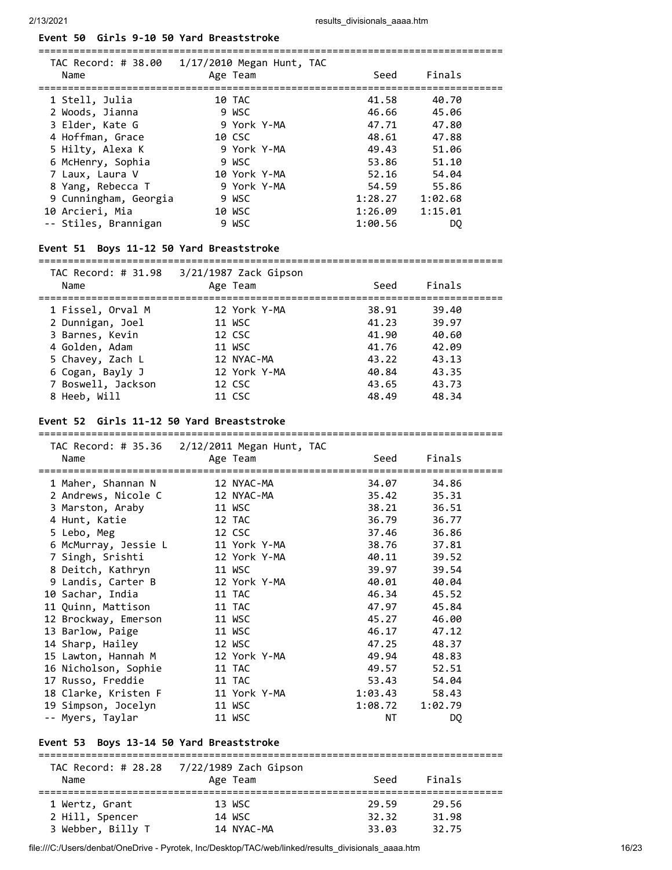## **Event 50 Girls 9-10 50 Yard Breaststroke**

| TAC Record: # 38.00<br>Name | $1/17/2010$ Megan Hunt, TAC<br>Age Team | Seed    | Finals  |
|-----------------------------|-----------------------------------------|---------|---------|
| 1 Stell, Julia              | 10 TAC                                  | 41.58   | 40.70   |
| 2 Woods, Jianna             | 9 WSC                                   | 46.66   | 45.06   |
| 3 Elder, Kate G             | 9 York Y-MA                             | 47.71   | 47.80   |
| 4 Hoffman, Grace            | 10 CSC                                  | 48.61   | 47.88   |
| 5 Hilty, Alexa K            | 9 York Y-MA                             | 49.43   | 51.06   |
| 6 McHenry, Sophia           | 9 WSC                                   | 53.86   | 51.10   |
| 7 Laux, Laura V             | 10 York Y-MA                            | 52.16   | 54.04   |
| 8 Yang, Rebecca T           | 9 York Y-MA                             | 54.59   | 55.86   |
| 9 Cunningham, Georgia       | 9 WSC                                   | 1:28.27 | 1:02.68 |
| 10 Arcieri, Mia             | 10 WSC                                  | 1:26.09 | 1:15.01 |
| -- Stiles, Brannigan        | 9 WSC                                   | 1:00.56 | DO.     |

===============================================================================

#### **Event 51 Boys 11-12 50 Yard Breaststroke**

#### ===============================================================================

| TAC Record: # 31.98<br>Name | $3/21/1987$ Zack Gipson<br>Age Team | Seed  | Finals |  |
|-----------------------------|-------------------------------------|-------|--------|--|
| 1 Fissel, Orval M           | 12 York Y-MA                        | 38.91 | 39.40  |  |
| 2 Dunnigan, Joel            | 11 WSC                              | 41.23 | 39.97  |  |
| 3 Barnes, Kevin             | 12 CSC                              | 41.90 | 40.60  |  |
| 4 Golden, Adam              | 11 WSC                              | 41.76 | 42.09  |  |
| 5 Chavey, Zach L            | 12 NYAC-MA                          | 43.22 | 43.13  |  |
| 6 Cogan, Bayly J            | 12 York Y-MA                        | 40.84 | 43.35  |  |
| 7 Boswell, Jackson          | 12 CSC                              | 43.65 | 43.73  |  |
| 8 Heeb, Will                | 11 CSC                              | 48.49 | 48.34  |  |

### **Event 52 Girls 11-12 50 Yard Breaststroke**

|                                                     | TAC Record: # 35.36 2/12/2011 Megan Hunt, TAC |                                   |                |  |
|-----------------------------------------------------|-----------------------------------------------|-----------------------------------|----------------|--|
| Name                                                | Age Team                                      | Seed                              | Finals         |  |
| 1 Maher, Shannan N                                  | 12 NYAC-MA                                    | 34.07                             | 34.86          |  |
| 2 Andrews, Nicole C                                 | 12 NYAC-MA                                    | 35.42                             | 35.31          |  |
| 3 Marston, Araby                                    | 11 WSC                                        | 38.21                             | 36.51          |  |
| 4 Hunt, Katie                                       | 12 TAC                                        | 36.79                             | 36.77          |  |
| 5 Lebo, Meg                                         | 12 CSC                                        | 37.46                             | 36.86          |  |
| 6 McMurray, Jessie L                                | 11 York Y-MA                                  | 38.76                             | 37.81          |  |
| 7 Singh, Srishti                                    | 12 York Y-MA                                  | 40.11                             | 39.52          |  |
| 8 Deitch, Kathryn                                   | 11 WSC                                        | 39.97                             | 39.54          |  |
| 9 Landis, Carter B                                  | 12 York Y-MA                                  | 40.01                             | 40.04          |  |
| 10 Sachar, India                                    | 11 TAC                                        | 46.34                             | 45.52          |  |
| 11 Quinn, Mattison                                  | 11 TAC                                        | 47.97                             | 45.84          |  |
| 12 Brockway, Emerson                                | 11 WSC                                        | 45.27                             | 46.00          |  |
| 13 Barlow, Paige                                    | 11 WSC                                        | 46.17                             | 47.12          |  |
| 14 Sharp, Hailey                                    | 12 WSC                                        | 47.25                             | 48.37          |  |
| 15 Lawton, Hannah M                                 | 12 York Y-MA                                  | 49.94                             | 48.83          |  |
| 16 Nicholson, Sophie                                | 11 TAC                                        | 49.57                             | 52.51          |  |
| 17 Russo, Freddie                                   | 11 TAC                                        | 53.43                             | 54.04          |  |
| 18 Clarke, Kristen F                                | 11 York Y-MA                                  | 1:03.43                           | 58.43          |  |
| 19 Simpson, Jocelyn                                 | 11 WSC                                        | 1:08.72                           | 1:02.79        |  |
| -- Myers, Taylar                                    | 11 WSC                                        | <b>NT</b>                         | D <sub>0</sub> |  |
| Event 53 Boys 13-14 50 Yard Breaststroke            |                                               |                                   |                |  |
|                                                     |                                               |                                   |                |  |
|                                                     |                                               |                                   |                |  |
| Name                                                | Age Team                                      | Seed                              | Finals         |  |
| =================================<br>1 Wertz, Grant | 13 WSC                                        | ========================<br>29.59 | 29.56          |  |
| 2 Hill, Spencer                                     | 14 WSC                                        | 32.32                             | 31.98          |  |
| 3 Webber, Billy T                                   | 14 NYAC-MA                                    | 33.03                             | 32.75          |  |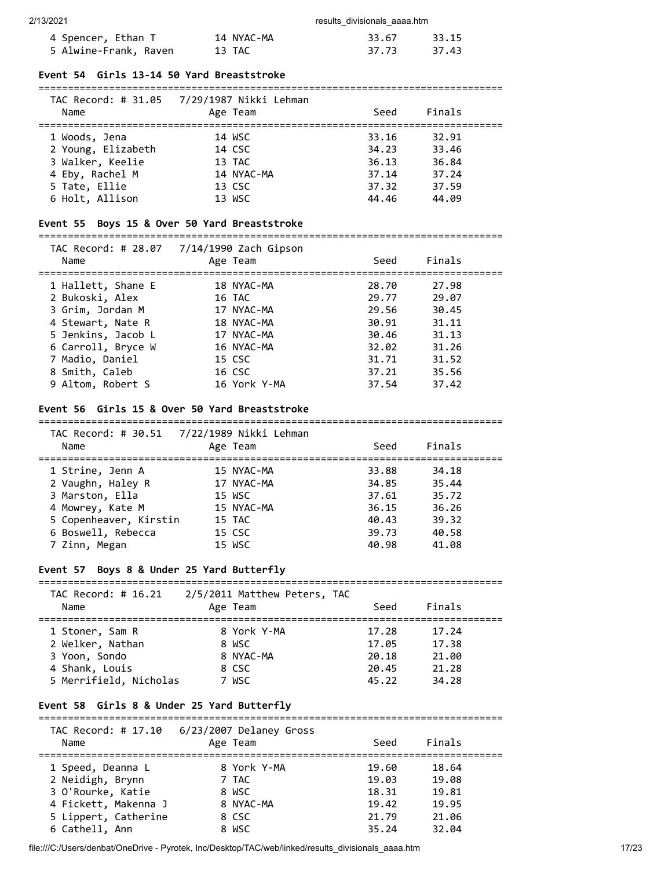| 4 Spencer, Ethan T    | 14 NYAC-MA | 33.67 | 33.15 |
|-----------------------|------------|-------|-------|
| 5 Alwine-Frank, Raven | 13 TAC     | 37.73 | 37.43 |

### **Event 54 Girls 13-14 50 Yard Breaststroke**

| Name               | TAC Record: # 31.05 7/29/1987 Nikki Lehman<br>Age Team | Seed  | Finals |  |
|--------------------|--------------------------------------------------------|-------|--------|--|
|                    |                                                        |       |        |  |
| 1 Woods, Jena      | 14 WSC                                                 | 33.16 | 32.91  |  |
| 2 Young, Elizabeth | 14 CSC                                                 | 34.23 | 33.46  |  |
| 3 Walker, Keelie   | 13 TAC                                                 | 36.13 | 36.84  |  |
| 4 Eby, Rachel M    | 14 NYAC-MA                                             | 37.14 | 37.24  |  |
| 5 Tate, Ellie      | 13 CSC                                                 | 37.32 | 37.59  |  |
| 6 Holt, Allison    | 13 WSC                                                 | 44.46 | 44.09  |  |

### **Event 55 Boys 15 & Over 50 Yard Breaststroke**

# ===============================================================================

| TAC Record: # 28.07<br>Name | 7/14/1990 Zach Gipson<br>Age Team | Seed  | Finals |  |
|-----------------------------|-----------------------------------|-------|--------|--|
| 1 Hallett, Shane E          | 18 NYAC-MA                        | 28.70 | 27.98  |  |
| 2 Bukoski, Alex             | 16 TAC                            | 29.77 | 29.07  |  |
| 3 Grim, Jordan M            | 17 NYAC-MA                        | 29.56 | 30.45  |  |
| 4 Stewart, Nate R           | 18 NYAC-MA                        | 30.91 | 31.11  |  |
| 5 Jenkins, Jacob L          | 17 NYAC-MA                        | 30.46 | 31.13  |  |
| 6 Carroll, Bryce W          | 16 NYAC-MA                        | 32.02 | 31.26  |  |
| 7 Madio, Daniel             | 15 CSC                            | 31.71 | 31.52  |  |
| 8 Smith, Caleb              | 16 CSC                            | 37.21 | 35.56  |  |
| 9 Altom, Robert S           | 16 York Y-MA                      | 37.54 | 37.42  |  |

#### **Event 56 Girls 15 & Over 50 Yard Breaststroke**

#### ===============================================================================

| TAC Record: # 30.51<br>Name | 7/22/1989 Nikki Lehman<br>Age Team | Seed  | Finals |  |
|-----------------------------|------------------------------------|-------|--------|--|
| 1 Strine, Jenn A            | 15 NYAC-MA                         | 33.88 | 34.18  |  |
| 2 Vaughn, Haley R           | 17 NYAC-MA                         | 34.85 | 35.44  |  |
| 3 Marston, Ella             | 15 WSC                             | 37.61 | 35.72  |  |
| 4 Mowrey, Kate M            | 15 NYAC-MA                         | 36.15 | 36.26  |  |
| 5 Copenheaver, Kirstin      | 15 TAC                             | 40.43 | 39.32  |  |
| 6 Boswell, Rebecca          | 15 CSC                             | 39.73 | 40.58  |  |
| 7 Zinn, Megan               | 15 WSC                             | 40.98 | 41.08  |  |

# **Event 57 Boys 8 & Under 25 Yard Butterfly**

| TAC Record: # 16.21<br>Name | 2/5/2011 Matthew Peters, TAC<br>Age Team | Seed  | Finals |  |
|-----------------------------|------------------------------------------|-------|--------|--|
| 1 Stoner, Sam R             | 8 York Y-MA                              | 17.28 | 17.24  |  |
| 2 Welker, Nathan            | 8 WSC                                    | 17.05 | 17.38  |  |
| 3 Yoon, Sondo               | 8 NYAC-MA                                | 20.18 | 21.00  |  |
| 4 Shank, Louis              | 8 CSC                                    | 20.45 | 21.28  |  |
| 5 Merrifield, Nicholas      | 7 WSC                                    | 45.22 | 34.28  |  |

### **Event 58 Girls 8 & Under 25 Yard Butterfly**

===============================================================================

| TAC Record: # 17.10<br>Name | 6/23/2007 Delaney Gross<br>Age Team | Seed  | Finals |  |
|-----------------------------|-------------------------------------|-------|--------|--|
| 1 Speed, Deanna L           | 8 York Y-MA                         | 19.60 | 18.64  |  |
| 2 Neidigh, Brynn            | 7 TAC                               | 19.03 | 19.08  |  |
| 3 O'Rourke, Katie           | 8 WSC                               | 18.31 | 19.81  |  |
| 4 Fickett, Makenna J        | 8 NYAC-MA                           | 19.42 | 19.95  |  |
| 5 Lippert, Catherine        | 8 CSC                               | 21.79 | 21.06  |  |
| 6 Cathell, Ann              | 8 WSC                               | 35.24 | 32.04  |  |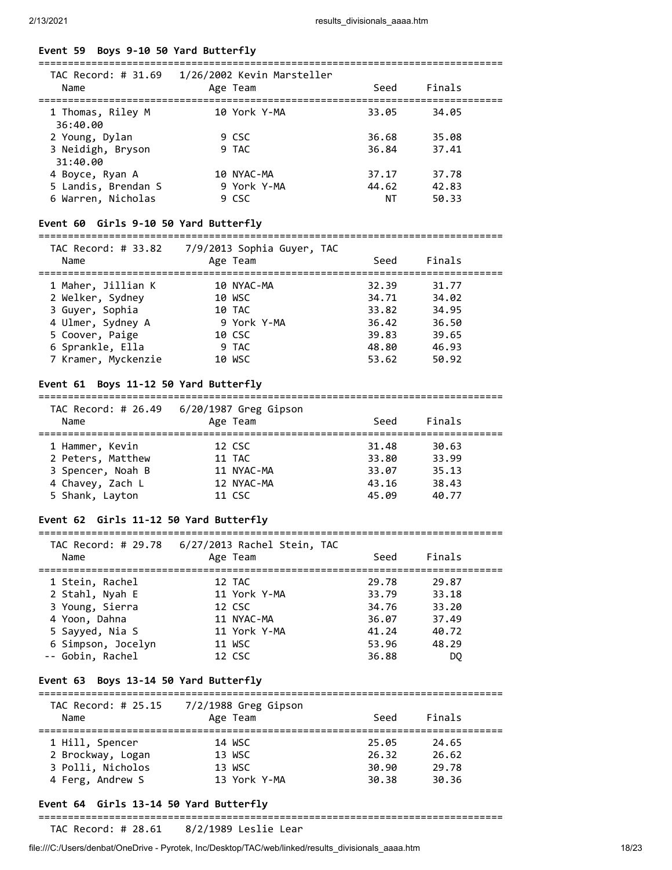#### **Event 59 Boys 9-10 50 Yard Butterfly**

| TAC Record: # 31.69           | 1/26/2002 Kevin Marsteller |       |        |  |
|-------------------------------|----------------------------|-------|--------|--|
| Name                          | Age Team                   | Seed  | Finals |  |
| 1 Thomas, Riley M<br>36:40.00 | 10 York Y-MA               | 33.05 | 34.05  |  |
| 2 Young, Dylan                | 9 CSC                      | 36.68 | 35.08  |  |
| 3 Neidigh, Bryson<br>31:40.00 | 9 TAC                      | 36.84 | 37.41  |  |
| 4 Boyce, Ryan A               | 10 NYAC-MA                 | 37.17 | 37.78  |  |
| 5 Landis, Brendan S           | 9 York Y-MA                | 44.62 | 42.83  |  |
| 6 Warren, Nicholas            | 9 CSC                      | ΝT    | 50.33  |  |

### **Event 60 Girls 9-10 50 Yard Butterfly**

#### ===============================================================================  $TAC$  Record:  $# 33.92$

| IAC Record: # 33.82<br>Name | 77972013 SOpnia Guyer, TAC<br>Age Team | Seed  | Finals |  |
|-----------------------------|----------------------------------------|-------|--------|--|
| 1 Maher, Jillian K          | 10 NYAC-MA                             | 32.39 | 31.77  |  |
| 2 Welker, Sydney            | 10 WSC                                 | 34.71 | 34.02  |  |
| 3 Guyer, Sophia             | 10 TAC                                 | 33.82 | 34.95  |  |
| 4 Ulmer, Sydney A           | 9 York Y-MA                            | 36.42 | 36.50  |  |
| 5 Coover, Paige             | 10 CSC                                 | 39.83 | 39.65  |  |
| 6 Sprankle, Ella            | 9 TAC                                  | 48.80 | 46.93  |  |
| 7 Kramer, Myckenzie         | 10 WSC                                 | 53.62 | 50.92  |  |

#### **Event 61 Boys 11-12 50 Yard Butterfly**

| TAC Record: # 26.49<br>Name | 6/20/1987 Greg Gipson<br>Age Team | Seed  | Finals |
|-----------------------------|-----------------------------------|-------|--------|
| 1 Hammer, Kevin             | 12 CSC                            | 31.48 | 30.63  |
| 2 Peters, Matthew           | 11 TAC                            | 33.80 | 33.99  |
| 3 Spencer, Noah B           | 11 NYAC-MA                        | 33.07 | 35.13  |
| 4 Chavey, Zach L            | 12 NYAC-MA                        | 43.16 | 38.43  |
| 5 Shank, Layton             | 11 CSC                            | 45.09 | 40.77  |

### **Event 62 Girls 11-12 50 Yard Butterfly**

#### =============================================================================== TAC Record: # 29.78 6/27/2013 Rachel Stein, TAC

| Name               | TAC RECOPU. # 29.70 - 0/27/2013 RACHEI STEIN, TAC<br>Age Team | Seed  | Finals |  |
|--------------------|---------------------------------------------------------------|-------|--------|--|
| 1 Stein, Rachel    | 12 TAC                                                        | 29.78 | 29.87  |  |
| 2 Stahl, Nyah E    | 11 York Y-MA                                                  | 33.79 | 33.18  |  |
| 3 Young, Sierra    | 12 CSC                                                        | 34.76 | 33.20  |  |
| 4 Yoon, Dahna      | 11 NYAC-MA                                                    | 36.07 | 37.49  |  |
| 5 Sayyed, Nia S    | 11 York Y-MA                                                  | 41.24 | 40.72  |  |
| 6 Simpson, Jocelyn | 11 WSC                                                        | 53.96 | 48.29  |  |
| -- Gobin, Rachel   | 12 CSC                                                        | 36.88 | DO     |  |
|                    |                                                               |       |        |  |

#### **Event 63 Boys 13-14 50 Yard Butterfly**

#### ===============================================================================

| TAC Record: # 25.15<br>Name | $7/2/1988$ Greg Gipson<br>Age Team | Seed  | Finals |  |
|-----------------------------|------------------------------------|-------|--------|--|
| 1 Hill, Spencer             | 14 WSC                             | 25.05 | 24.65  |  |
| 2 Brockway, Logan           | 13 WSC                             | 26.32 | 26.62  |  |
| 3 Polli, Nicholos           | 13 WSC                             | 30.90 | 29.78  |  |
| 4 Ferg, Andrew S            | 13 York Y-MA                       | 30.38 | 30.36  |  |

# **Event 64 Girls 13-14 50 Yard Butterfly**

===============================================================================

TAC Record: # 28.61 8/2/1989 Leslie Lear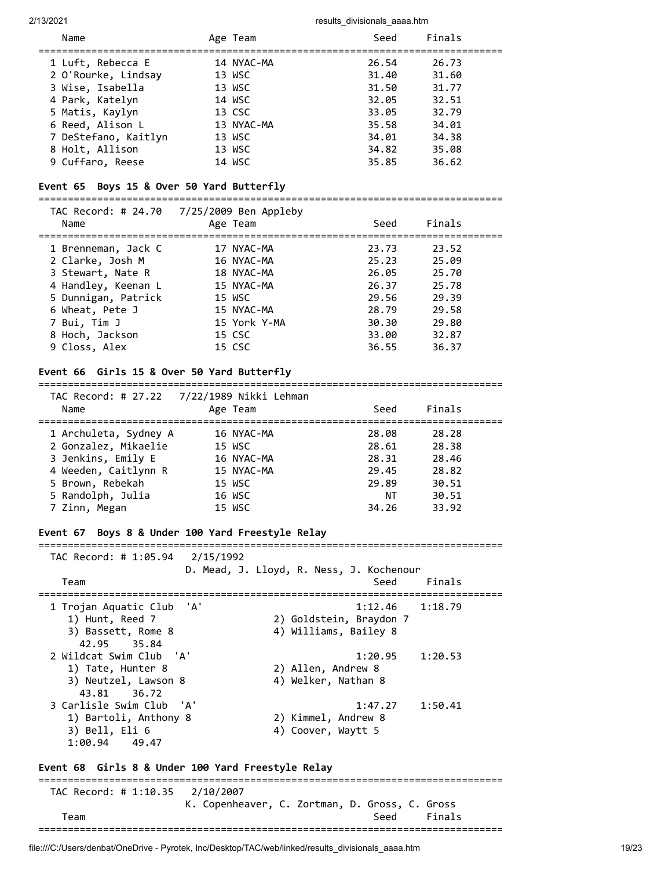| Name                 | Age Team   | Seed  | Finals |
|----------------------|------------|-------|--------|
| 1 Luft, Rebecca E    | 14 NYAC-MA | 26.54 | 26.73  |
| 2 O'Rourke, Lindsay  | 13 WSC     | 31.40 | 31.60  |
| 3 Wise, Isabella     | 13 WSC     | 31.50 | 31.77  |
| 4 Park, Katelyn      | 14 WSC     | 32.05 | 32.51  |
| 5 Matis, Kaylyn      | 13 CSC     | 33.05 | 32.79  |
| 6 Reed, Alison L     | 13 NYAC-MA | 35.58 | 34.01  |
| 7 DeStefano, Kaitlyn | 13 WSC     | 34.01 | 34.38  |
| 8 Holt, Allison      | 13 WSC     | 34.82 | 35.08  |
| 9 Cuffaro, Reese     | 14 WSC     | 35.85 | 36.62  |

## **Event 65 Boys 15 & Over 50 Yard Butterfly**

| Name                | TAC Record: # 24.70 7/25/2009 Ben Appleby<br>Age Team | Seed  | Finals |  |
|---------------------|-------------------------------------------------------|-------|--------|--|
| 1 Brenneman, Jack C | 17 NYAC-MA                                            | 23.73 | 23.52  |  |
| 2 Clarke, Josh M    | 16 NYAC-MA                                            | 25.23 | 25.09  |  |
| 3 Stewart, Nate R   | 18 NYAC-MA                                            | 26.05 | 25.70  |  |
| 4 Handley, Keenan L | 15 NYAC-MA                                            | 26.37 | 25.78  |  |
| 5 Dunnigan, Patrick | 15 WSC                                                | 29.56 | 29.39  |  |
| 6 Wheat, Pete J     | 15 NYAC-MA                                            | 28.79 | 29.58  |  |
| 7 Bui, Tim J        | 15 York Y-MA                                          | 30.30 | 29.80  |  |
| 8 Hoch, Jackson     | 15 CSC                                                | 33.00 | 32.87  |  |
| 9 Closs, Alex       | 15 CSC                                                | 36.55 | 36.37  |  |
|                     |                                                       |       |        |  |

### **Event 66 Girls 15 & Over 50 Yard Butterfly**

#### ===============================================================================

|                       | TAC Record: # 27.22 7/22/1989 Nikki Lehman |       |        |  |
|-----------------------|--------------------------------------------|-------|--------|--|
| Name                  | Age Team                                   | Seed  | Finals |  |
|                       | 16 NYAC-MA                                 | 28.08 | 28.28  |  |
| 1 Archuleta, Sydney A |                                            |       |        |  |
| 2 Gonzalez, Mikaelie  | 15 WSC                                     | 28.61 | 28.38  |  |
| 3 Jenkins, Emily E    | 16 NYAC-MA                                 | 28.31 | 28.46  |  |
| 4 Weeden, Caitlynn R  | 15 NYAC-MA                                 | 29.45 | 28.82  |  |
| 5 Brown, Rebekah      | 15 WSC                                     | 29.89 | 30.51  |  |
| 5 Randolph, Julia     | 16 WSC                                     | ΝT    | 30.51  |  |
| 7 Zinn, Megan         | 15 WSC                                     | 34.26 | 33.92  |  |

===============================================================================

### **Event 67 Boys 8 & Under 100 Yard Freestyle Relay**

 TAC Record: # 1:05.94 2/15/1992 D. Mead, J. Lloyd, R. Ness, J. Kochenour Team Seed Finals =============================================================================== 1 Trojan Aquatic Club 'A' 1:12.46 1:18.79<br>1) Hunt, Reed 7 2) Goldstein, Braydon 7 1) Hunt, Reed 7 2) Goldstein, Braydon 7 3) Bassett, Rome 8 4) Williams, Bailey 8 42.95 35.84 2 Wildcat Swim Club 'A' 1:20.95 1:20.53 1:20.<br>1) Tate, Hunter 8 2) Allen, Andrew 8 3) Neutzel Lousse 8 3) Neutzel, Lawson 8 4) Welker, Nathan 8 43.81 36.72 3 Carlisle Swim Club 'A' 1:47.27 1:50.41 1) Bartoli, Anthony 8 2) Kimmel, Andrew 8 3) Bell, Eli 6 4) Coover, Waytt 5 1:00.94 49.47

#### **Event 68 Girls 8 & Under 100 Yard Freestyle Relay**

=============================================================================== TAC Record: # 1:10.35 2/10/2007 K. Copenheaver, C. Zortman, D. Gross, C. Gross Team Seed Finals ===============================================================================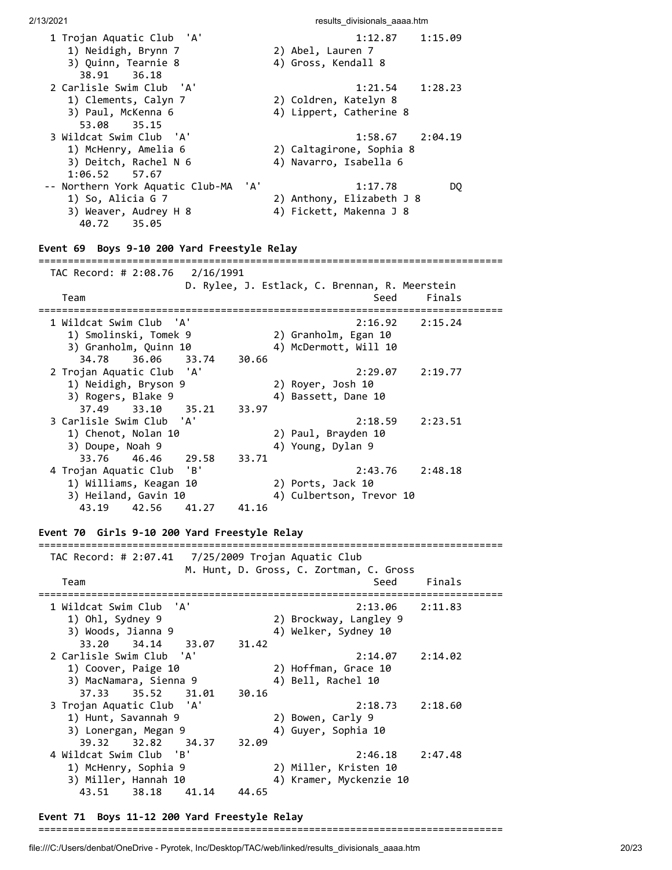| 1 Trojan Aquatic Club 'A'                   | 1:12.87<br>1:15.09                             |
|---------------------------------------------|------------------------------------------------|
| 1) Neidigh, Brynn 7                         | 2) Abel, Lauren 7                              |
| 3) Quinn, Tearnie 8                         | 4) Gross, Kendall 8                            |
| 38.91 36.18                                 |                                                |
| 2 Carlisle Swim Club 'A'                    | $1:21.54$ $1:28.23$                            |
| 1) Clements, Calyn 7                        | 2) Coldren, Katelyn 8                          |
| 3) Paul, McKenna 6                          | 4) Lippert, Catherine 8                        |
| 53.08 35.15                                 |                                                |
| 3 Wildcat Swim Club 'A'                     | $1:58.67$ $2:04.19$                            |
| 1) McHenry, Amelia 6                        | 2) Caltagirone, Sophia 8                       |
| 3) Deitch, Rachel N 6                       | 4) Navarro, Isabella 6                         |
| $1:06.52$ 57.67                             |                                                |
| -- Northern York Aquatic Club-MA 'A'        | 1:17.78<br>DQ                                  |
| 1) So, Alicia G 7                           | 2) Anthony, Elizabeth J 8                      |
| 3) Weaver, Audrey H 8                       | 4) Fickett, Makenna J 8                        |
| 40.72 35.05                                 |                                                |
|                                             |                                                |
| Event 69 Boys 9-10 200 Yard Freestyle Relay |                                                |
| TAC Record: # 2:08.76 2/16/1991             |                                                |
|                                             | D. Rylee, J. Estlack, C. Brennan, R. Meerstein |
| Team                                        | Finals<br>Seed                                 |
|                                             |                                                |

| Team                          | Seed                     | Finals  |
|-------------------------------|--------------------------|---------|
| 1 Wildcat Swim Club 'A'       | $2:16.92$ $2:15.24$      |         |
| 1) Smolinski, Tomek 9         | 2) Granholm, Egan 10     |         |
| 3) Granholm, Quinn 10         | 4) McDermott, Will 10    |         |
| 34.78 36.06 33.74<br>30.66    |                          |         |
| 2 Trojan Aquatic Club 'A'     | $2:29.07$ $2:19.77$      |         |
| 1) Neidigh, Bryson 9          | 2) Royer, Josh 10        |         |
| 3) Rogers, Blake 9            | 4) Bassett, Dane 10      |         |
| 37.49 33.10 35.21<br>33.97    |                          |         |
| 3 Carlisle Swim Club 'A'      | 2:18.59                  | 2:23.51 |
| 1) Chenot, Nolan 10           | 2) Paul, Brayden 10      |         |
| 3) Doupe, Noah 9              | 4) Young, Dylan 9        |         |
| 33.76 46.46 29.58<br>33.71    |                          |         |
| 4 Trojan Aquatic Club 'B'     | $2:43.76$ $2:48.18$      |         |
| 1) Williams, Keagan 10        | 2) Ports, Jack 10        |         |
| 3) Heiland, Gavin 10          | 4) Culbertson, Trevor 10 |         |
| 43.19 42.56<br>41.16<br>41.27 |                          |         |

### **Event 70 Girls 9-10 200 Yard Freestyle Relay**

=============================================================================== TAC Record: # 2:07.41 7/25/2009 Trojan Aquatic Club M. Hunt, D. Gross, C. Zortman, C. Gross Team Seed Finals =============================================================================== 1 Wildcat Swim Club 'A' 2:13.06 2:11.83 1) Ohl, Sydney 9 2) Brockway, Langley 9 3) Woods, Jianna 9 4) Welker, Sydney 10 33.20 34.14 33.07 31.42 2 Carlisle Swim Club 'A' 2:14.07 2:14.02 1) Coover, Paige 10 2) Hoffman, Grace 10 3) MacNamara, Sienna 9 (4) Bell, Rachel 10 37.33 35.52 31.01 30.16 3 Trojan Aquatic Club 'A' 2:18.73 2:18.60 1) Hunt, Savannah 9 2) Bowen, Carly 9 3) Lonergan, Megan 9 (4) Guyer, Sophia 10 39.32 32.82 34.37 32.09 4 Wildcat Swim Club 'B' 2:46.18 2:47.48 1) McHenry, Sophia 9 2) Miller, Kristen 10 3) Miller, Hannah 10 4) Kramer, Myckenzie 10 43.51 38.18 41.14 44.65

#### **Event 71 Boys 11-12 200 Yard Freestyle Relay**

===============================================================================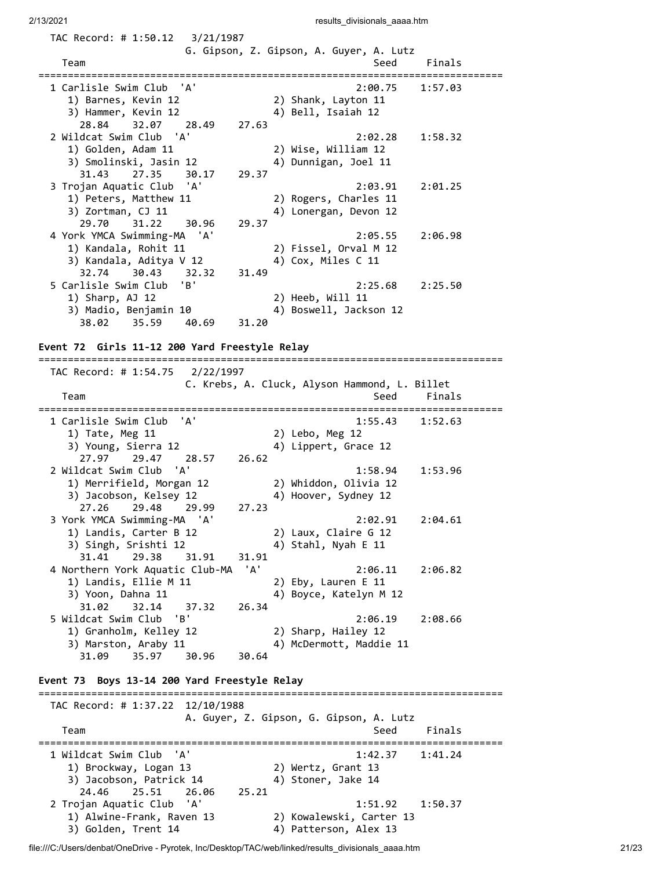TAC Record: # 1:50.12 3/21/1987

| Team                                            |       | G. Gipson, Z. Gipson, A. Guyer, A. Lutz       |                            |  |
|-------------------------------------------------|-------|-----------------------------------------------|----------------------------|--|
|                                                 |       | Seed<br>=========                             | Finals                     |  |
| 1 Carlisle Swim Club 'A'                        |       | 2:00.75                                       | 1:57.03                    |  |
| 1) Barnes, Kevin 12                             |       | 2) Shank, Layton 11                           |                            |  |
| 3) Hammer, Kevin 12                             |       | 4) Bell, Isaiah 12                            |                            |  |
| 28.84<br>32.07<br>28.49                         | 27.63 |                                               |                            |  |
| 2 Wildcat Swim Club 'A'                         |       | 2:02.28                                       | 1:58.32                    |  |
| 1) Golden, Adam 11                              |       | 2) Wise, William 12                           |                            |  |
| 3) Smolinski, Jasin 12                          |       | 4) Dunnigan, Joel 11                          |                            |  |
| 31.43<br>27.35<br>30.17                         | 29.37 |                                               |                            |  |
| 'A'<br>3 Trojan Aquatic Club                    |       | 2:03.91                                       | 2:01.25                    |  |
| 1) Peters, Matthew 11                           |       | 2) Rogers, Charles 11                         |                            |  |
| 3) Zortman, CJ 11                               |       | 4) Lonergan, Devon 12                         |                            |  |
| 29.70<br>31.22<br>30.96                         | 29.37 |                                               |                            |  |
| 'A'                                             |       |                                               |                            |  |
| 4 York YMCA Swimming-MA                         |       | 2:05.55                                       | 2:06.98                    |  |
| 1) Kandala, Rohit 11                            |       | 2) Fissel, Orval M 12                         |                            |  |
| 3) Kandala, Aditya V 12                         |       | 4) Cox, Miles C 11                            |                            |  |
| 32.74<br>30.43<br>32.32                         | 31.49 |                                               |                            |  |
| 5 Carlisle Swim Club<br>'B'                     |       | 2:25.68                                       | 2:25.50                    |  |
| 1) Sharp, AJ 12                                 |       | 2) Heeb, Will 11                              |                            |  |
| 3) Madio, Benjamin 10                           |       | 4) Boswell, Jackson 12                        |                            |  |
| 38.02<br>35.59<br>40.69                         | 31.20 |                                               |                            |  |
|                                                 |       |                                               |                            |  |
| Event 72 Girls 11-12 200 Yard Freestyle Relay   |       |                                               |                            |  |
|                                                 |       |                                               |                            |  |
| TAC Record: # 1:54.75 $2/22/1997$               |       |                                               |                            |  |
|                                                 |       | C. Krebs, A. Cluck, Alyson Hammond, L. Billet |                            |  |
| Team                                            |       | Seed                                          | Finals                     |  |
| 'A'                                             |       |                                               | ========================== |  |
| 1 Carlisle Swim Club                            |       | 1:55.43                                       | 1:52.63                    |  |
| 1) Tate, Meg 11                                 |       | 2) Lebo, Meg 12                               |                            |  |
|                                                 |       |                                               |                            |  |
| 3) Young, Sierra 12                             |       | 4) Lippert, Grace 12                          |                            |  |
| 27.97<br>29.47<br>28.57                         | 26.62 |                                               |                            |  |
| 'A'<br>2 Wildcat Swim Club                      |       | 1:58.94                                       | 1:53.96                    |  |
| 1) Merrifield, Morgan 12                        |       | 2) Whiddon, Olivia 12                         |                            |  |
| 3) Jacobson, Kelsey 12                          |       | 4) Hoover, Sydney 12                          |                            |  |
| 27.26<br>29.48<br>29.99                         | 27.23 |                                               |                            |  |
| 3 York YMCA Swimming-MA 'A'                     |       | 2:02.91                                       | 2:04.61                    |  |
| 1) Landis, Carter B 12                          |       | 2) Laux, Claire G 12                          |                            |  |
|                                                 |       | 4) Stahl, Nyah E 11                           |                            |  |
| 3) Singh, Srishti 12<br>31.41<br>29.38<br>31.91 | 31.91 |                                               |                            |  |
|                                                 | 'A'   | 2:06.11                                       | 2:06.82                    |  |
| 4 Northern York Aquatic Club-MA                 |       |                                               |                            |  |
| 1) Landis, Ellie M 11                           |       | 2) Eby, Lauren E 11                           |                            |  |
| 3) Yoon, Dahna 11                               |       | 4) Boyce, Katelyn M 12                        |                            |  |
| 31.02<br>32.14<br>37.32                         | 26.34 |                                               |                            |  |
| 5 Wildcat Swim Club<br>'B'                      |       | 2:06.19                                       | 2:08.66                    |  |
| 1) Granholm, Kelley 12                          |       | 2) Sharp, Hailey 12                           |                            |  |
| 3) Marston, Araby 11                            |       | 4) McDermott, Maddie 11                       |                            |  |
| 31.09<br>35.97<br>30.96                         | 30.64 |                                               |                            |  |
|                                                 |       |                                               |                            |  |
| Event 73 Boys 13-14 200 Yard Freestyle Relay    |       |                                               |                            |  |
|                                                 |       |                                               |                            |  |
| TAC Record: # 1:37.22 12/10/1988                |       |                                               |                            |  |
|                                                 |       | A. Guyer, Z. Gipson, G. Gipson, A. Lutz       |                            |  |
| Team                                            |       | Seed                                          | Finals                     |  |
|                                                 |       |                                               |                            |  |
| 1 Wildcat Swim Club 'A'                         |       | 1:42.37                                       | 1:41.24                    |  |
| 1) Brockway, Logan 13                           |       | 2) Wertz, Grant 13                            |                            |  |
| 3) Jacobson, Patrick 14                         |       | 4) Stoner, Jake 14                            |                            |  |
| 24.46<br>25.51<br>26.06                         | 25.21 |                                               |                            |  |
| 2 Trojan Aquatic Club 'A'                       |       | 1:51.92                                       | 1:50.37                    |  |
| 1) Alwine-Frank, Raven 13                       |       | 2) Kowalewski, Carter 13                      |                            |  |
| 3) Golden, Trent 14                             |       | 4) Patterson, Alex 13                         |                            |  |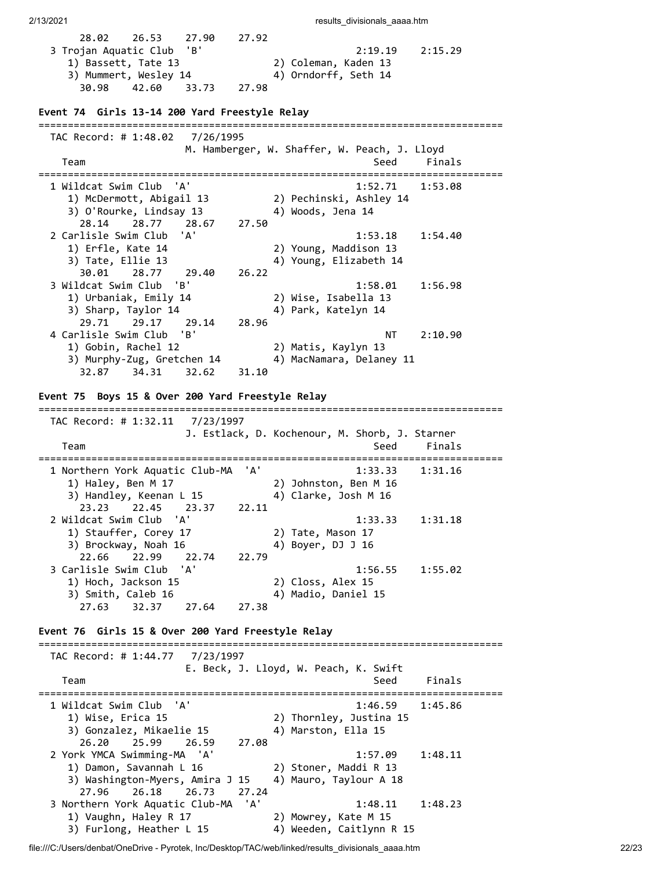| 28.02<br>26.53<br>27.90<br>'B'<br>3 Trojan Aquatic Club<br>1) Bassett, Tate 13<br>3) Mummert, Wesley 14<br>30.98<br>42.60<br>33.73 | 27.92<br>2:19.19<br>2:15.29<br>2) Coleman, Kaden 13<br>4) Orndorff, Seth 14<br>27.98 |
|------------------------------------------------------------------------------------------------------------------------------------|--------------------------------------------------------------------------------------|
| Event 74 Girls 13-14 200 Yard Freestyle Relay<br>;===================================                                              |                                                                                      |
| TAC Record: # 1:48.02<br>7/26/1995<br>Team<br>---------------------                                                                | M. Hamberger, W. Shaffer, W. Peach, J. Lloyd<br>Seed<br>Finals<br>:========          |
| 1 Wildcat Swim Club<br>'A'<br>1) McDermott, Abigail 13<br>3) O'Rourke, Lindsay 13<br>28.77<br>28.14<br>28.67                       | 1:52.71<br>1:53.08<br>2) Pechinski, Ashley 14<br>4) Woods, Jena 14<br>27.50          |
| 'A'<br>2 Carlisle Swim Club<br>1) Erfle, Kate 14<br>3) Tate, Ellie 13<br>30.01<br>28.77<br>29.40                                   | 1:53.18<br>1:54.40<br>2) Young, Maddison 13<br>4) Young, Elizabeth 14<br>26.22       |
| 3 Wildcat Swim Club<br>'B'<br>1) Urbaniak, Emily 14<br>3) Sharp, Taylor 14<br>29.71<br>29.17<br>29.14                              | 1:58.01<br>1:56.98<br>2) Wise, Isabella 13<br>4) Park, Katelyn 14<br>28.96           |
| 4 Carlisle Swim Club 'B'<br>1) Gobin, Rachel 12<br>3) Murphy-Zug, Gretchen 14<br>32.87<br>34.31<br>32.62                           | NT<br>2:10.90<br>2) Matis, Kaylyn 13<br>4) MacNamara, Delaney 11<br>31.10            |
| Event 75 Boys 15 & Over 200 Yard Freestyle Relay                                                                                   |                                                                                      |
| TAC Record: # 1:32.11 7/23/1997<br>Team                                                                                            | J. Estlack, D. Kochenour, M. Shorb, J. Starner<br>Seed<br>Finals                     |
| 1 Northern York Aquatic Club-MA<br>1) Haley, Ben M 17<br>3) Handley, Keenan L 15<br>23.23<br>22.45<br>23.37                        | 'A'<br>1:33.33<br>1:31.16<br>2) Johnston, Ben M 16<br>4) Clarke, Josh M 16<br>22.11  |
| ' A '<br>2 Wildcat Swim Club<br>1) Stauffer, Corey 17<br>3) Brockway, Noah 16<br>22.99<br>22.66<br>22.74                           | 1:33.33<br>1:31.18<br>2) Tate, Mason 17<br>4) Boyer, DJ J 16<br>22.79                |
| 3 Carlisle Swim Club 'A'<br>1) Hoch, Jackson 15<br>3) Smith, Caleb 16<br>27.63<br>32.37<br>27.64                                   | 1:56.55<br>1:55.02<br>2) Closs, Alex 15<br>4) Madio, Daniel 15<br>27.38              |
| Event 76 Girls 15 & Over 200 Yard Freestyle Relay                                                                                  |                                                                                      |
| TAC Record: # 1:44.77 7/23/1997<br>Team                                                                                            | E. Beck, J. Lloyd, W. Peach, K. Swift<br>Seed<br>Finals                              |
| 1 Wildcat Swim Club 'A'<br>1) Wise, Erica 15<br>3) Gonzalez, Mikaelie 15<br>26.20<br>25.99<br>26.59                                | 1:46.59<br>1:45.86<br>2) Thornley, Justina 15<br>4) Marston, Ella 15<br>27.08        |
| 2 York YMCA Swimming-MA 'A'<br>1) Damon, Savannah L 16<br>3) Washington-Myers, Amira J 15<br>27.96 26.18<br>26.73                  | 1:57.09<br>1:48.11<br>2) Stoner, Maddi R 13<br>4) Mauro, Taylour A 18<br>27.24       |
| 3 Northern York Aquatic Club-MA<br>1) Vaughn, Haley R 17<br>3) Furlong, Heather L 15                                               | 'A'<br>1:48.11<br>1:48.23<br>2) Mowrey, Kate M 15<br>4) Weeden, Caitlynn R 15        |

file:///C:/Users/denbat/OneDrive - Pyrotek, Inc/Desktop/TAC/web/linked/results\_divisionals\_aaaa.htm 22/23